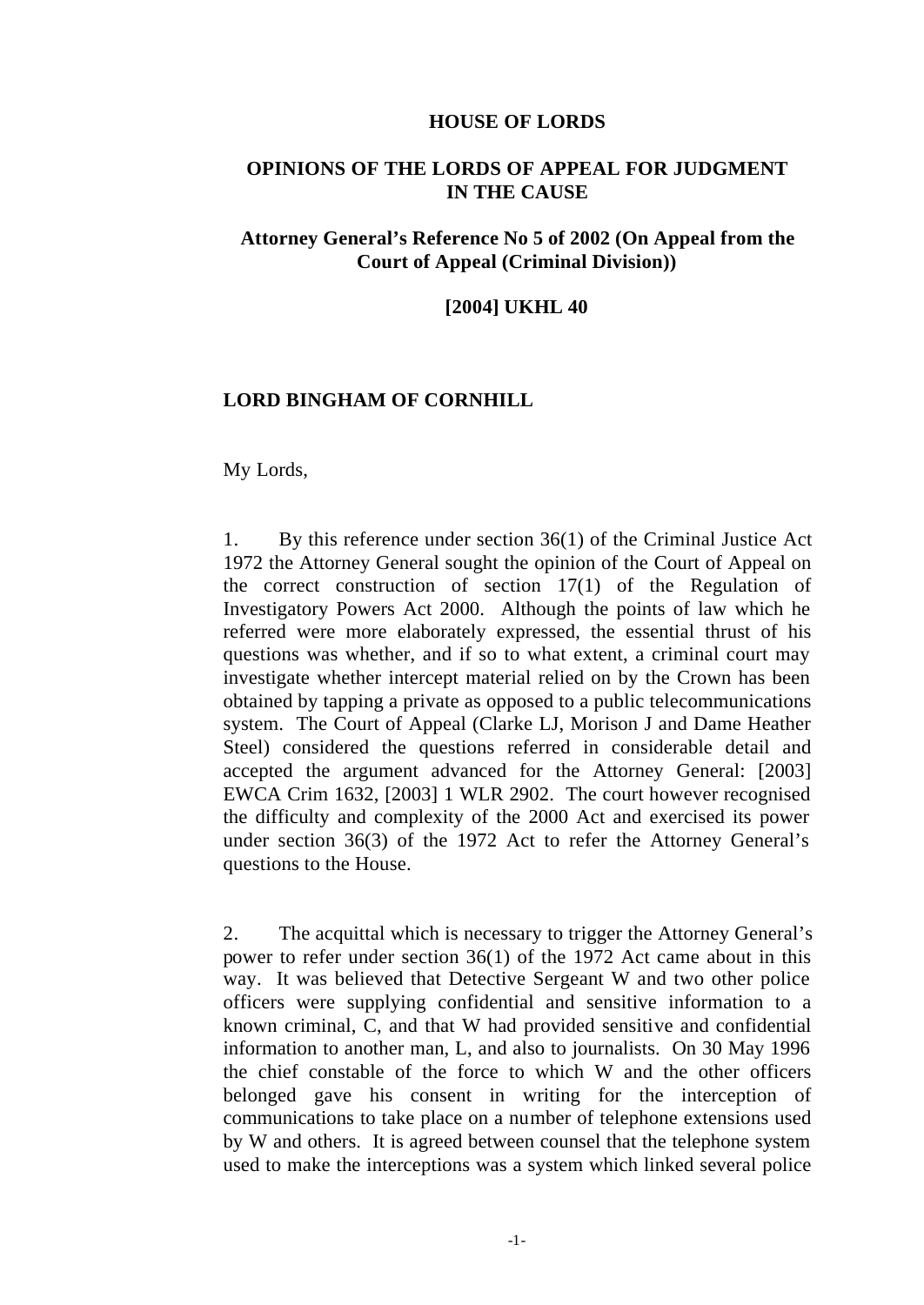#### **HOUSE OF LORDS**

## **OPINIONS OF THE LORDS OF APPEAL FOR JUDGMENT IN THE CAUSE**

## **Attorney General's Reference No 5 of 2002 (On Appeal from the Court of Appeal (Criminal Division))**

### **[2004] UKHL 40**

## **LORD BINGHAM OF CORNHILL**

#### My Lords,

1. By this reference under section 36(1) of the Criminal Justice Act 1972 the Attorney General sought the opinion of the Court of Appeal on the correct construction of section 17(1) of the Regulation of Investigatory Powers Act 2000. Although the points of law which he referred were more elaborately expressed, the essential thrust of his questions was whether, and if so to what extent, a criminal court may investigate whether intercept material relied on by the Crown has been obtained by tapping a private as opposed to a public telecommunications system. The Court of Appeal (Clarke LJ, Morison J and Dame Heather Steel) considered the questions referred in considerable detail and accepted the argument advanced for the Attorney General: [2003] EWCA Crim 1632, [2003] 1 WLR 2902. The court however recognised the difficulty and complexity of the 2000 Act and exercised its power under section 36(3) of the 1972 Act to refer the Attorney General's questions to the House.

2. The acquittal which is necessary to trigger the Attorney General's power to refer under section 36(1) of the 1972 Act came about in this way. It was believed that Detective Sergeant W and two other police officers were supplying confidential and sensitive information to a known criminal, C, and that W had provided sensitive and confidential information to another man, L, and also to journalists. On 30 May 1996 the chief constable of the force to which W and the other officers belonged gave his consent in writing for the interception of communications to take place on a number of telephone extensions used by W and others. It is agreed between counsel that the telephone system used to make the interceptions was a system which linked several police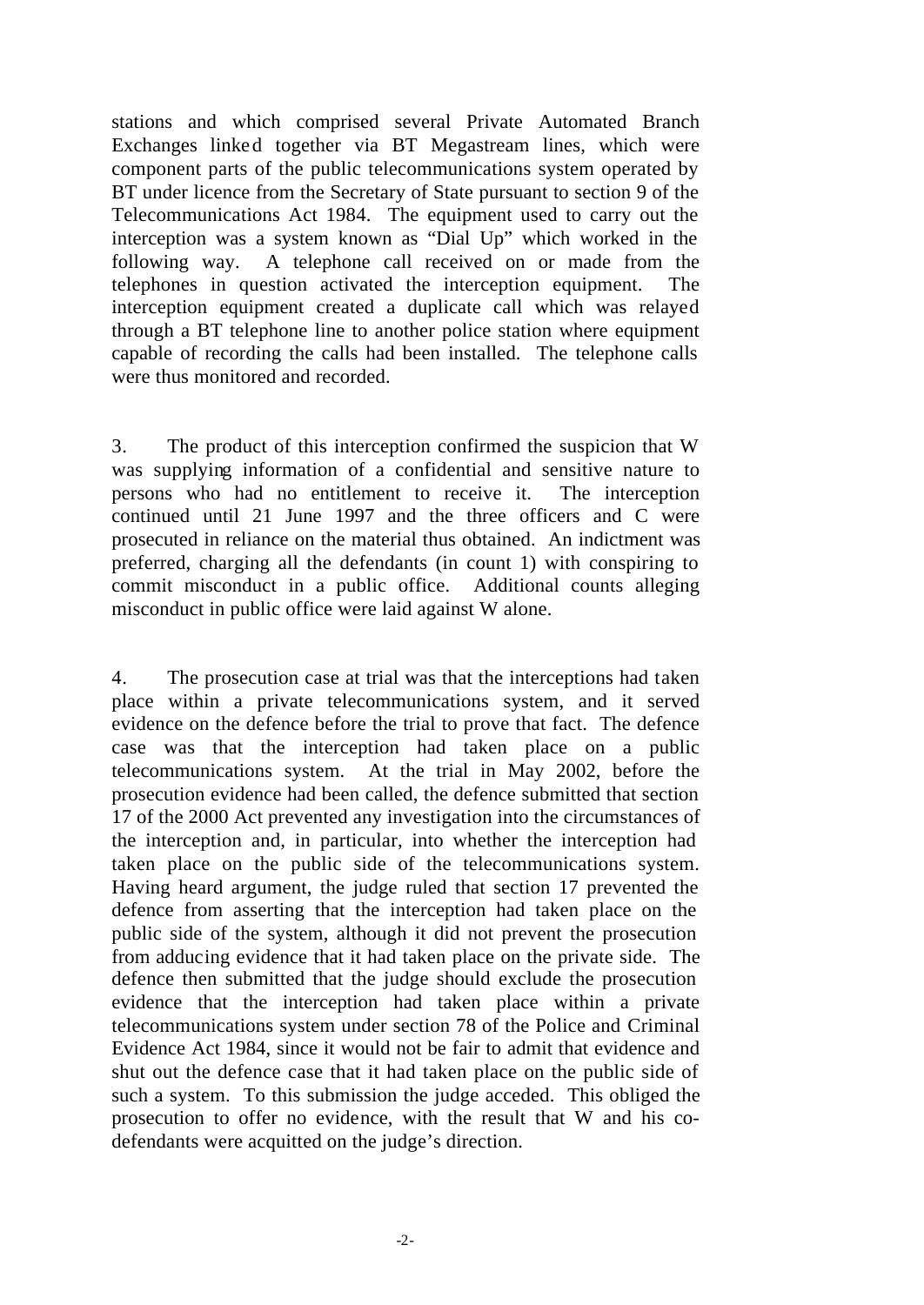stations and which comprised several Private Automated Branch Exchanges linked together via BT Megastream lines, which were component parts of the public telecommunications system operated by BT under licence from the Secretary of State pursuant to section 9 of the Telecommunications Act 1984. The equipment used to carry out the interception was a system known as "Dial Up" which worked in the following way. A telephone call received on or made from the telephones in question activated the interception equipment. The interception equipment created a duplicate call which was relayed through a BT telephone line to another police station where equipment capable of recording the calls had been installed. The telephone calls were thus monitored and recorded.

3. The product of this interception confirmed the suspicion that W was supplying information of a confidential and sensitive nature to persons who had no entitlement to receive it. The interception continued until 21 June 1997 and the three officers and C were prosecuted in reliance on the material thus obtained. An indictment was preferred, charging all the defendants (in count 1) with conspiring to commit misconduct in a public office. Additional counts alleging misconduct in public office were laid against W alone.

4. The prosecution case at trial was that the interceptions had taken place within a private telecommunications system, and it served evidence on the defence before the trial to prove that fact. The defence case was that the interception had taken place on a public telecommunications system. At the trial in May 2002, before the prosecution evidence had been called, the defence submitted that section 17 of the 2000 Act prevented any investigation into the circumstances of the interception and, in particular, into whether the interception had taken place on the public side of the telecommunications system. Having heard argument, the judge ruled that section 17 prevented the defence from asserting that the interception had taken place on the public side of the system, although it did not prevent the prosecution from adducing evidence that it had taken place on the private side. The defence then submitted that the judge should exclude the prosecution evidence that the interception had taken place within a private telecommunications system under section 78 of the Police and Criminal Evidence Act 1984, since it would not be fair to admit that evidence and shut out the defence case that it had taken place on the public side of such a system. To this submission the judge acceded. This obliged the prosecution to offer no evidence, with the result that W and his codefendants were acquitted on the judge's direction.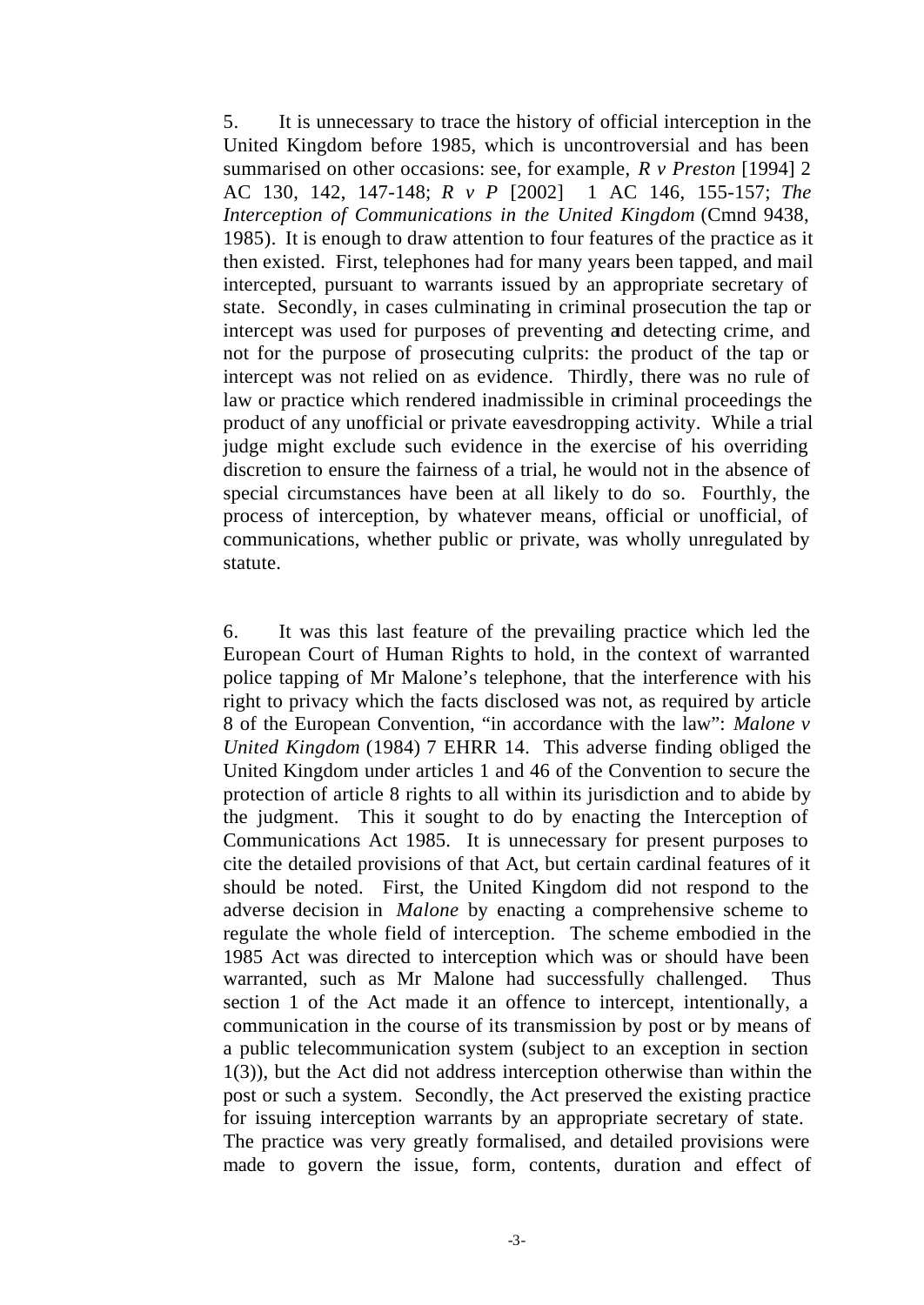5. It is unnecessary to trace the history of official interception in the United Kingdom before 1985, which is uncontroversial and has been summarised on other occasions: see, for example, *R v Preston* [1994] 2 AC 130, 142, 147-148; *R v P* [2002] 1 AC 146, 155-157; *The Interception of Communications in the United Kingdom* (Cmnd 9438, 1985). It is enough to draw attention to four features of the practice as it then existed. First, telephones had for many years been tapped, and mail intercepted, pursuant to warrants issued by an appropriate secretary of state. Secondly, in cases culminating in criminal prosecution the tap or intercept was used for purposes of preventing and detecting crime, and not for the purpose of prosecuting culprits: the product of the tap or intercept was not relied on as evidence. Thirdly, there was no rule of law or practice which rendered inadmissible in criminal proceedings the product of any unofficial or private eavesdropping activity. While a trial judge might exclude such evidence in the exercise of his overriding discretion to ensure the fairness of a trial, he would not in the absence of special circumstances have been at all likely to do so. Fourthly, the process of interception, by whatever means, official or unofficial, of communications, whether public or private, was wholly unregulated by statute.

6. It was this last feature of the prevailing practice which led the European Court of Human Rights to hold, in the context of warranted police tapping of Mr Malone's telephone, that the interference with his right to privacy which the facts disclosed was not, as required by article 8 of the European Convention, "in accordance with the law": *Malone v United Kingdom* (1984) 7 EHRR 14. This adverse finding obliged the United Kingdom under articles 1 and 46 of the Convention to secure the protection of article 8 rights to all within its jurisdiction and to abide by the judgment. This it sought to do by enacting the Interception of Communications Act 1985. It is unnecessary for present purposes to cite the detailed provisions of that Act, but certain cardinal features of it should be noted. First, the United Kingdom did not respond to the adverse decision in *Malone* by enacting a comprehensive scheme to regulate the whole field of interception. The scheme embodied in the 1985 Act was directed to interception which was or should have been warranted, such as Mr Malone had successfully challenged. Thus section 1 of the Act made it an offence to intercept, intentionally, a communication in the course of its transmission by post or by means of a public telecommunication system (subject to an exception in section 1(3)), but the Act did not address interception otherwise than within the post or such a system. Secondly, the Act preserved the existing practice for issuing interception warrants by an appropriate secretary of state. The practice was very greatly formalised, and detailed provisions were made to govern the issue, form, contents, duration and effect of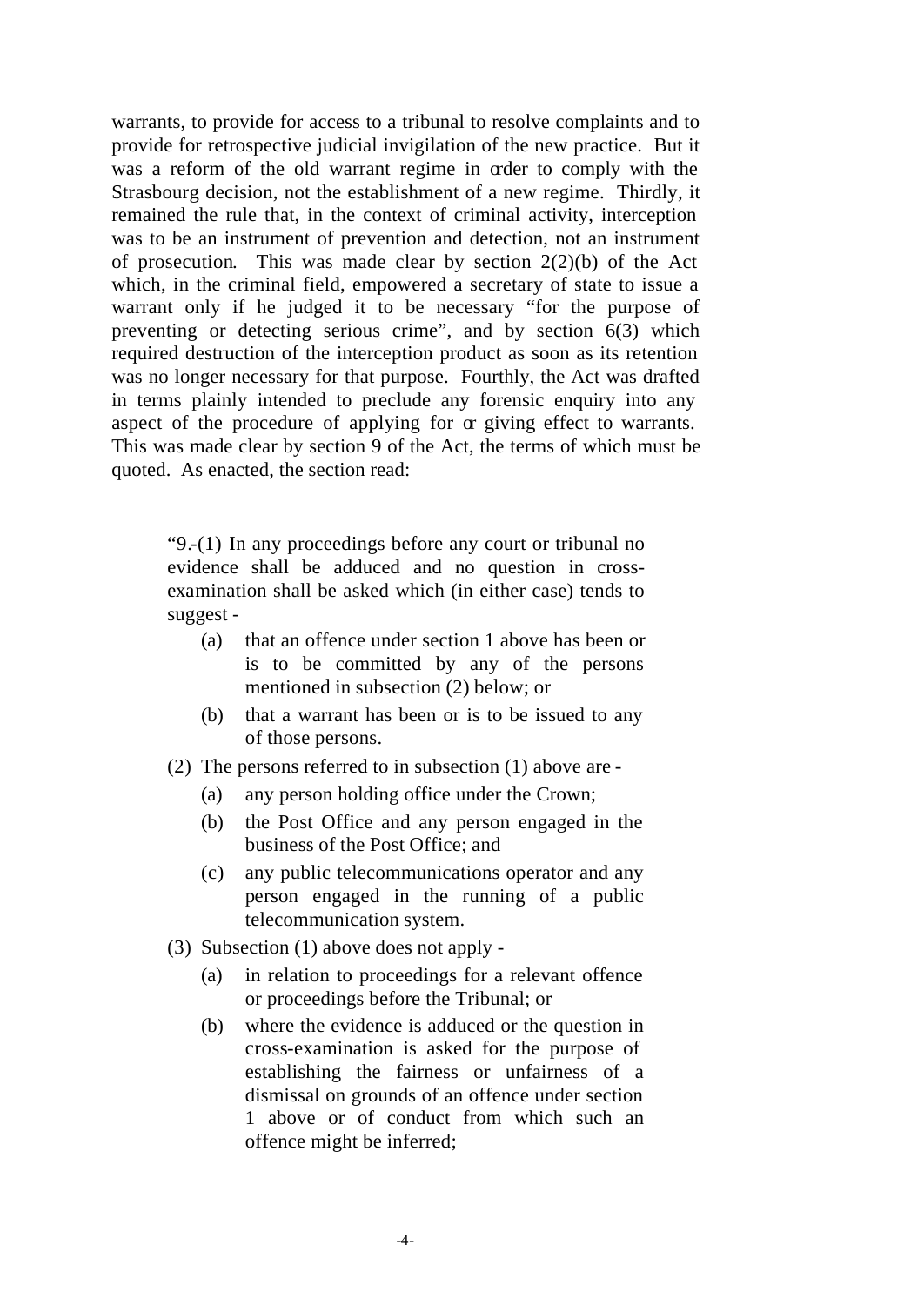warrants, to provide for access to a tribunal to resolve complaints and to provide for retrospective judicial invigilation of the new practice. But it was a reform of the old warrant regime in order to comply with the Strasbourg decision, not the establishment of a new regime. Thirdly, it remained the rule that, in the context of criminal activity, interception was to be an instrument of prevention and detection, not an instrument of prosecution. This was made clear by section  $2(2)(b)$  of the Act which, in the criminal field, empowered a secretary of state to issue a warrant only if he judged it to be necessary "for the purpose of preventing or detecting serious crime", and by section 6(3) which required destruction of the interception product as soon as its retention was no longer necessary for that purpose. Fourthly, the Act was drafted in terms plainly intended to preclude any forensic enquiry into any aspect of the procedure of applying for  $\alpha$  giving effect to warrants. This was made clear by section 9 of the Act, the terms of which must be quoted. As enacted, the section read:

"9.-(1) In any proceedings before any court or tribunal no evidence shall be adduced and no question in crossexamination shall be asked which (in either case) tends to suggest -

- (a) that an offence under section 1 above has been or is to be committed by any of the persons mentioned in subsection (2) below; or
- (b) that a warrant has been or is to be issued to any of those persons.
- (2) The persons referred to in subsection (1) above are
	- (a) any person holding office under the Crown;
	- (b) the Post Office and any person engaged in the business of the Post Office; and
	- (c) any public telecommunications operator and any person engaged in the running of a public telecommunication system.
- (3) Subsection (1) above does not apply
	- (a) in relation to proceedings for a relevant offence or proceedings before the Tribunal; or
	- (b) where the evidence is adduced or the question in cross-examination is asked for the purpose of establishing the fairness or unfairness of a dismissal on grounds of an offence under section 1 above or of conduct from which such an offence might be inferred;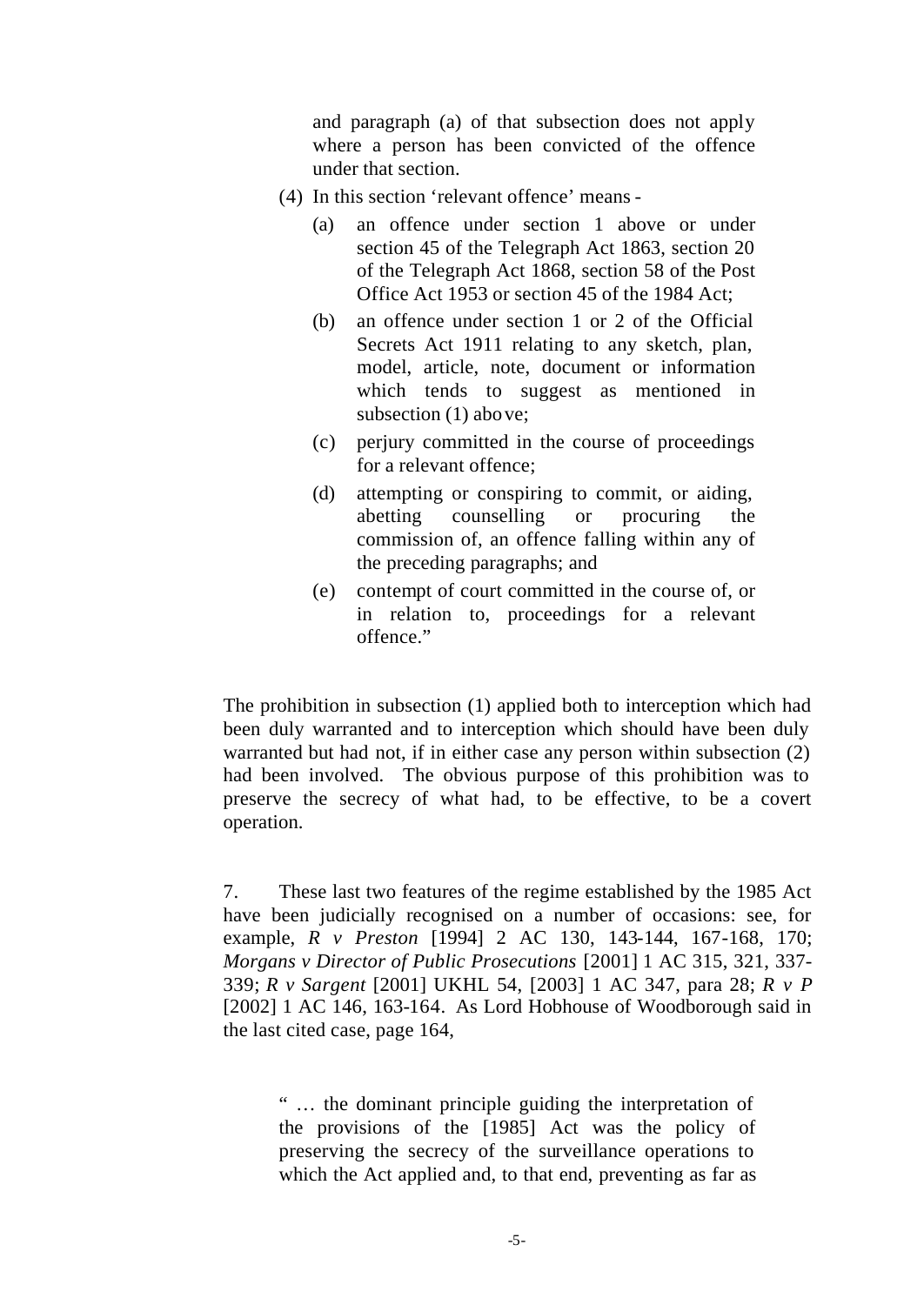and paragraph (a) of that subsection does not apply where a person has been convicted of the offence under that section.

- (4) In this section 'relevant offence' means
	- (a) an offence under section 1 above or under section 45 of the Telegraph Act 1863, section 20 of the Telegraph Act 1868, section 58 of the Post Office Act 1953 or section 45 of the 1984 Act;
	- (b) an offence under section 1 or 2 of the Official Secrets Act 1911 relating to any sketch, plan, model, article, note, document or information which tends to suggest as mentioned in subsection (1) above;
	- (c) perjury committed in the course of proceedings for a relevant offence;
	- (d) attempting or conspiring to commit, or aiding, abetting counselling or procuring the commission of, an offence falling within any of the preceding paragraphs; and
	- (e) contempt of court committed in the course of, or in relation to, proceedings for a relevant offence."

The prohibition in subsection (1) applied both to interception which had been duly warranted and to interception which should have been duly warranted but had not, if in either case any person within subsection (2) had been involved. The obvious purpose of this prohibition was to preserve the secrecy of what had, to be effective, to be a covert operation.

7. These last two features of the regime established by the 1985 Act have been judicially recognised on a number of occasions: see, for example, *R v Preston* [1994] 2 AC 130, 143-144, 167-168, 170; *Morgans v Director of Public Prosecutions* [2001] 1 AC 315, 321, 337- 339; *R v Sargent* [2001] UKHL 54, [2003] 1 AC 347, para 28; *R v P* [2002] 1 AC 146, 163-164. As Lord Hobhouse of Woodborough said in the last cited case, page 164,

" … the dominant principle guiding the interpretation of the provisions of the [1985] Act was the policy of preserving the secrecy of the surveillance operations to which the Act applied and, to that end, preventing as far as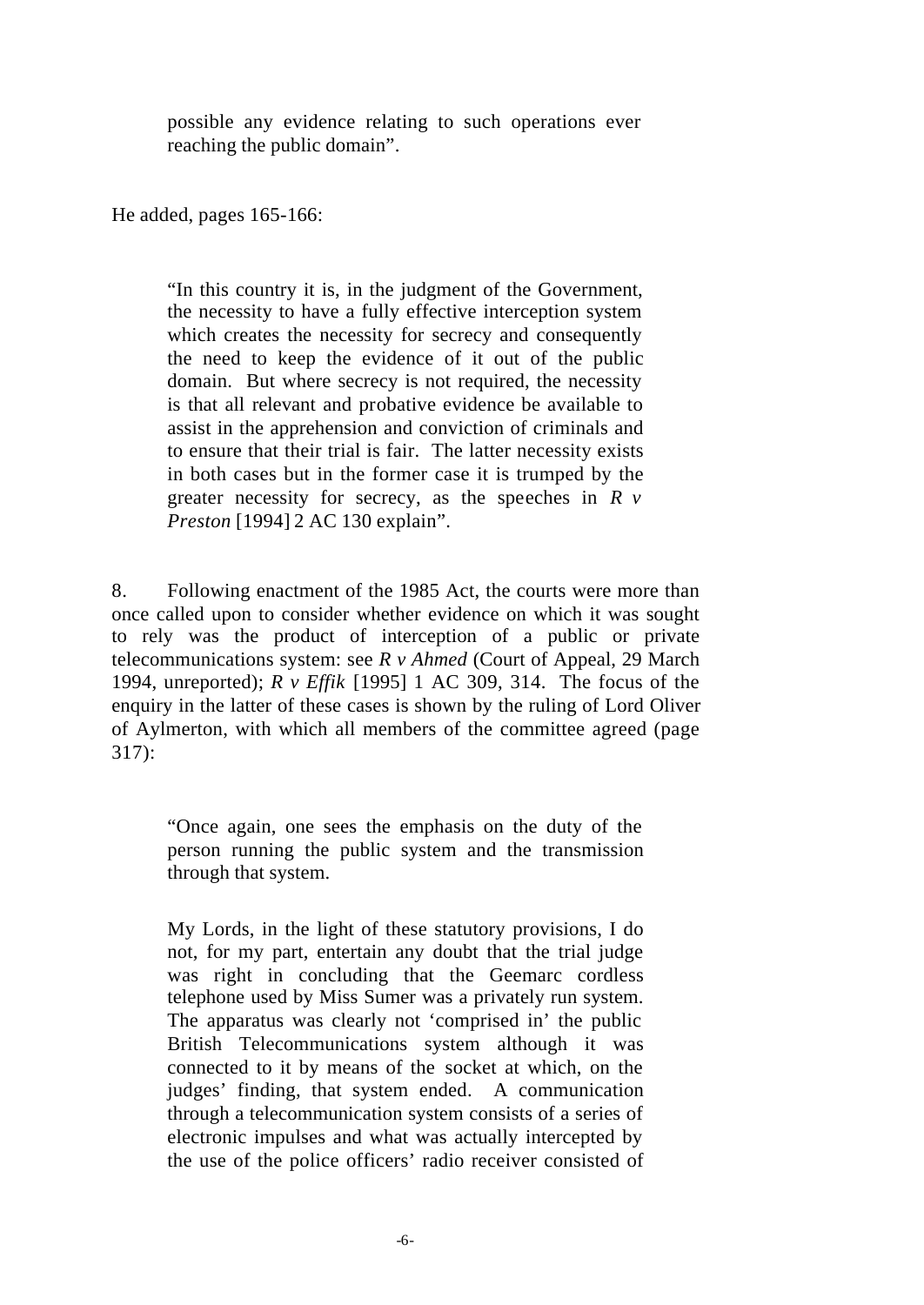possible any evidence relating to such operations ever reaching the public domain".

He added, pages 165-166:

"In this country it is, in the judgment of the Government, the necessity to have a fully effective interception system which creates the necessity for secrecy and consequently the need to keep the evidence of it out of the public domain. But where secrecy is not required, the necessity is that all relevant and probative evidence be available to assist in the apprehension and conviction of criminals and to ensure that their trial is fair. The latter necessity exists in both cases but in the former case it is trumped by the greater necessity for secrecy, as the speeches in *R v Preston* [1994] 2 AC 130 explain".

8. Following enactment of the 1985 Act, the courts were more than once called upon to consider whether evidence on which it was sought to rely was the product of interception of a public or private telecommunications system: see *R v Ahmed* (Court of Appeal, 29 March 1994, unreported); *R v Effik* [1995] 1 AC 309, 314. The focus of the enquiry in the latter of these cases is shown by the ruling of Lord Oliver of Aylmerton, with which all members of the committee agreed (page 317):

"Once again, one sees the emphasis on the duty of the person running the public system and the transmission through that system.

My Lords, in the light of these statutory provisions, I do not, for my part, entertain any doubt that the trial judge was right in concluding that the Geemarc cordless telephone used by Miss Sumer was a privately run system. The apparatus was clearly not 'comprised in' the public British Telecommunications system although it was connected to it by means of the socket at which, on the judges' finding, that system ended. A communication through a telecommunication system consists of a series of electronic impulses and what was actually intercepted by the use of the police officers' radio receiver consisted of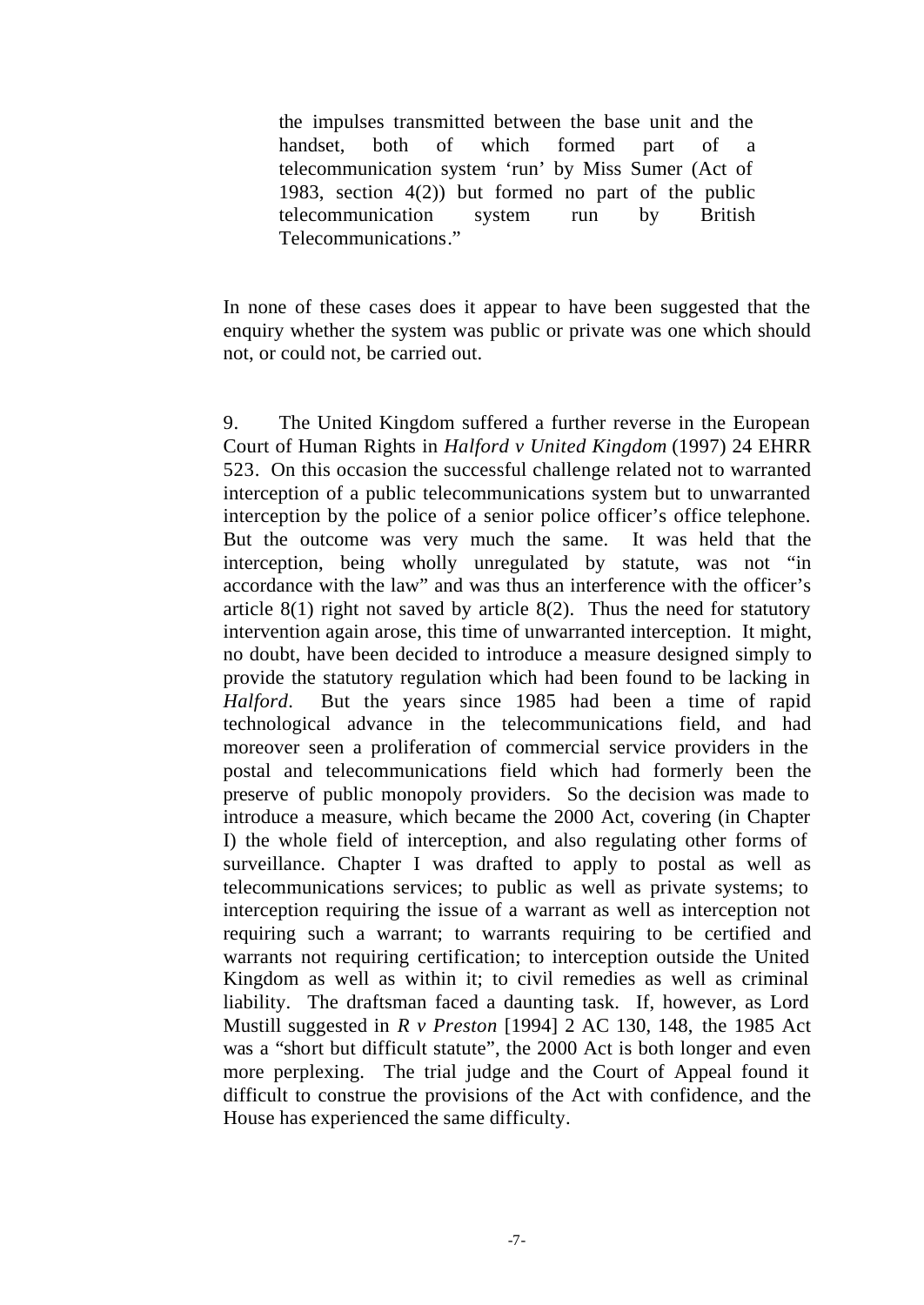the impulses transmitted between the base unit and the handset, both of which formed part of a telecommunication system 'run' by Miss Sumer (Act of 1983, section 4(2)) but formed no part of the public telecommunication system run by British Telecommunications."

In none of these cases does it appear to have been suggested that the enquiry whether the system was public or private was one which should not, or could not, be carried out.

9. The United Kingdom suffered a further reverse in the European Court of Human Rights in *Halford v United Kingdom* (1997) 24 EHRR 523. On this occasion the successful challenge related not to warranted interception of a public telecommunications system but to unwarranted interception by the police of a senior police officer's office telephone. But the outcome was very much the same. It was held that the interception, being wholly unregulated by statute, was not "in accordance with the law" and was thus an interference with the officer's article  $8(1)$  right not saved by article  $8(2)$ . Thus the need for statutory intervention again arose, this time of unwarranted interception. It might, no doubt, have been decided to introduce a measure designed simply to provide the statutory regulation which had been found to be lacking in *Halford*. But the years since 1985 had been a time of rapid technological advance in the telecommunications field, and had moreover seen a proliferation of commercial service providers in the postal and telecommunications field which had formerly been the preserve of public monopoly providers. So the decision was made to introduce a measure, which became the 2000 Act, covering (in Chapter I) the whole field of interception, and also regulating other forms of surveillance. Chapter I was drafted to apply to postal as well as telecommunications services; to public as well as private systems; to interception requiring the issue of a warrant as well as interception not requiring such a warrant; to warrants requiring to be certified and warrants not requiring certification; to interception outside the United Kingdom as well as within it; to civil remedies as well as criminal liability. The draftsman faced a daunting task. If, however, as Lord Mustill suggested in *R v Preston* [1994] 2 AC 130, 148, the 1985 Act was a "short but difficult statute", the 2000 Act is both longer and even more perplexing. The trial judge and the Court of Appeal found it difficult to construe the provisions of the Act with confidence, and the House has experienced the same difficulty.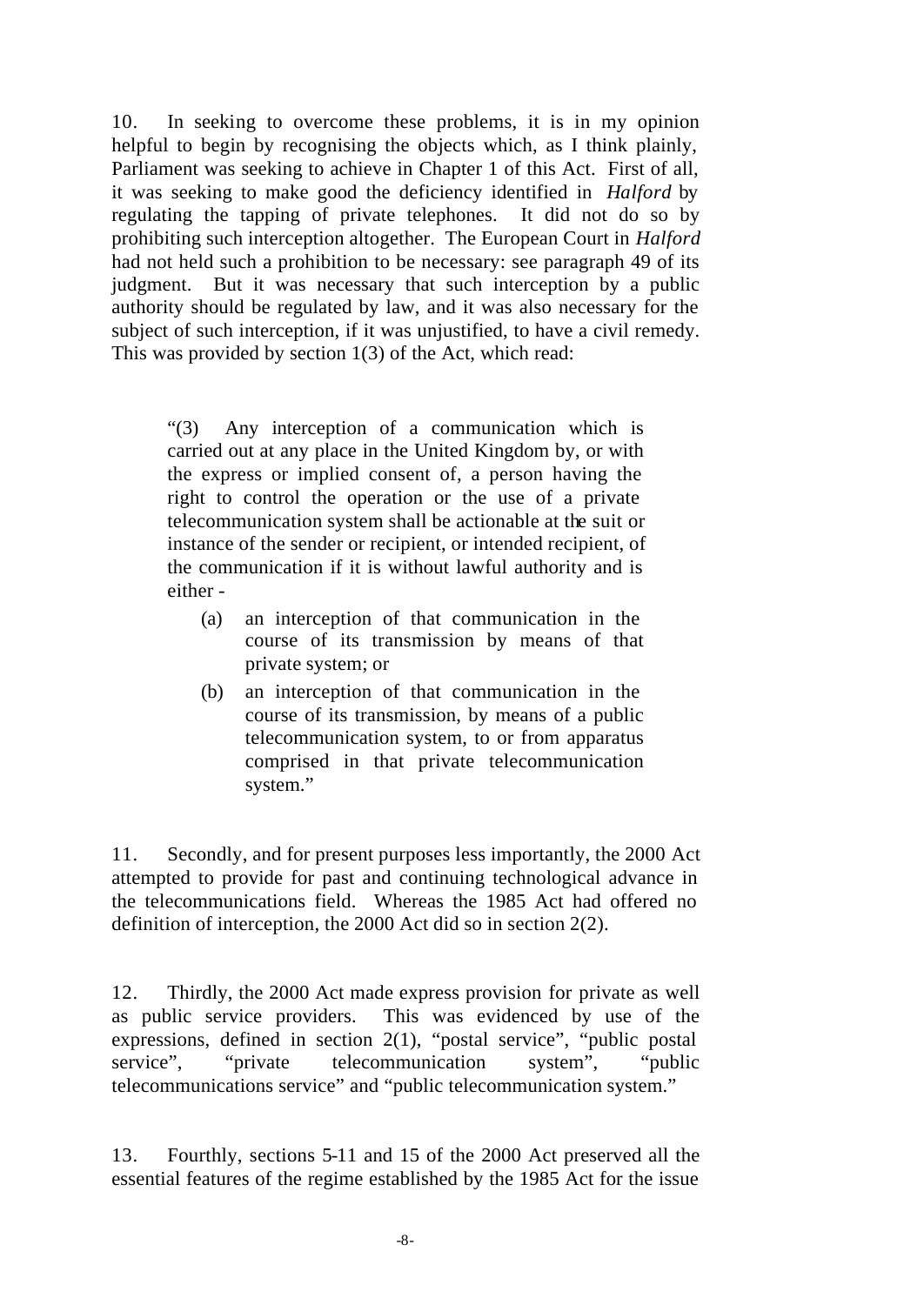10. In seeking to overcome these problems, it is in my opinion helpful to begin by recognising the objects which, as I think plainly, Parliament was seeking to achieve in Chapter 1 of this Act. First of all, it was seeking to make good the deficiency identified in *Halford* by regulating the tapping of private telephones. It did not do so by prohibiting such interception altogether. The European Court in *Halford* had not held such a prohibition to be necessary: see paragraph 49 of its judgment. But it was necessary that such interception by a public authority should be regulated by law, and it was also necessary for the subject of such interception, if it was unjustified, to have a civil remedy. This was provided by section 1(3) of the Act, which read:

"(3) Any interception of a communication which is carried out at any place in the United Kingdom by, or with the express or implied consent of, a person having the right to control the operation or the use of a private telecommunication system shall be actionable at the suit or instance of the sender or recipient, or intended recipient, of the communication if it is without lawful authority and is either -

- (a) an interception of that communication in the course of its transmission by means of that private system; or
- (b) an interception of that communication in the course of its transmission, by means of a public telecommunication system, to or from apparatus comprised in that private telecommunication system."

11. Secondly, and for present purposes less importantly, the 2000 Act attempted to provide for past and continuing technological advance in the telecommunications field. Whereas the 1985 Act had offered no definition of interception, the 2000 Act did so in section 2(2).

12. Thirdly, the 2000 Act made express provision for private as well as public service providers. This was evidenced by use of the expressions, defined in section 2(1), "postal service", "public postal service", "private telecommunication system", "public telecommunications service" and "public telecommunication system."

13. Fourthly, sections 5-11 and 15 of the 2000 Act preserved all the essential features of the regime established by the 1985 Act for the issue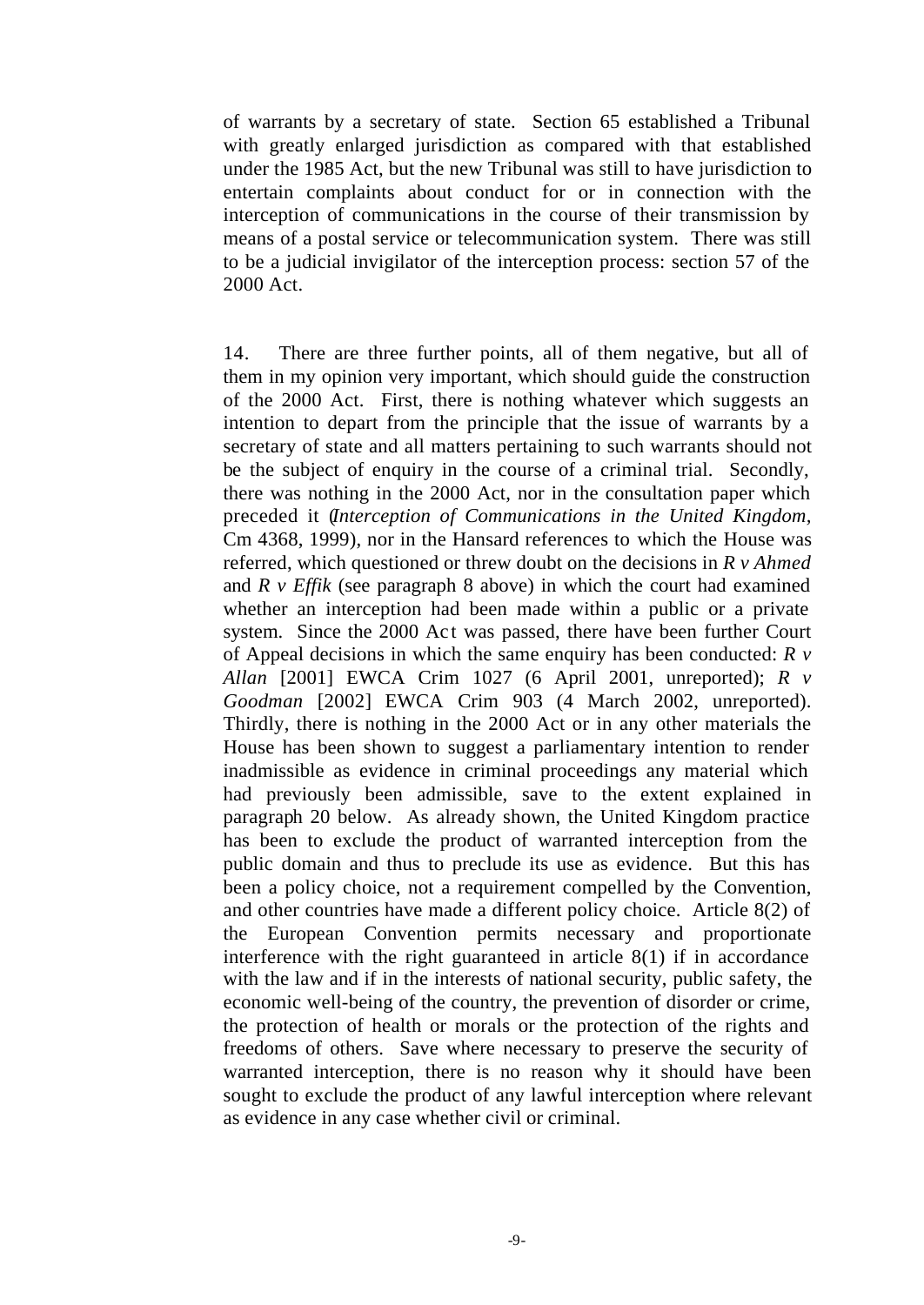of warrants by a secretary of state. Section 65 established a Tribunal with greatly enlarged jurisdiction as compared with that established under the 1985 Act, but the new Tribunal was still to have jurisdiction to entertain complaints about conduct for or in connection with the interception of communications in the course of their transmission by means of a postal service or telecommunication system. There was still to be a judicial invigilator of the interception process: section 57 of the 2000 Act.

14. There are three further points, all of them negative, but all of them in my opinion very important, which should guide the construction of the 2000 Act. First, there is nothing whatever which suggests an intention to depart from the principle that the issue of warrants by a secretary of state and all matters pertaining to such warrants should not be the subject of enquiry in the course of a criminal trial. Secondly, there was nothing in the 2000 Act, nor in the consultation paper which preceded it (*Interception of Communications in the United Kingdom,* Cm 4368, 1999), nor in the Hansard references to which the House was referred, which questioned or threw doubt on the decisions in *R v Ahmed* and *R v Effik* (see paragraph 8 above) in which the court had examined whether an interception had been made within a public or a private system. Since the 2000 Act was passed, there have been further Court of Appeal decisions in which the same enquiry has been conducted: *R v Allan* [2001] EWCA Crim 1027 (6 April 2001, unreported); *R v Goodman* [2002] EWCA Crim 903 (4 March 2002, unreported). Thirdly, there is nothing in the 2000 Act or in any other materials the House has been shown to suggest a parliamentary intention to render inadmissible as evidence in criminal proceedings any material which had previously been admissible, save to the extent explained in paragraph 20 below. As already shown, the United Kingdom practice has been to exclude the product of warranted interception from the public domain and thus to preclude its use as evidence. But this has been a policy choice, not a requirement compelled by the Convention, and other countries have made a different policy choice. Article 8(2) of the European Convention permits necessary and proportionate interference with the right guaranteed in article 8(1) if in accordance with the law and if in the interests of national security, public safety, the economic well-being of the country, the prevention of disorder or crime, the protection of health or morals or the protection of the rights and freedoms of others. Save where necessary to preserve the security of warranted interception, there is no reason why it should have been sought to exclude the product of any lawful interception where relevant as evidence in any case whether civil or criminal.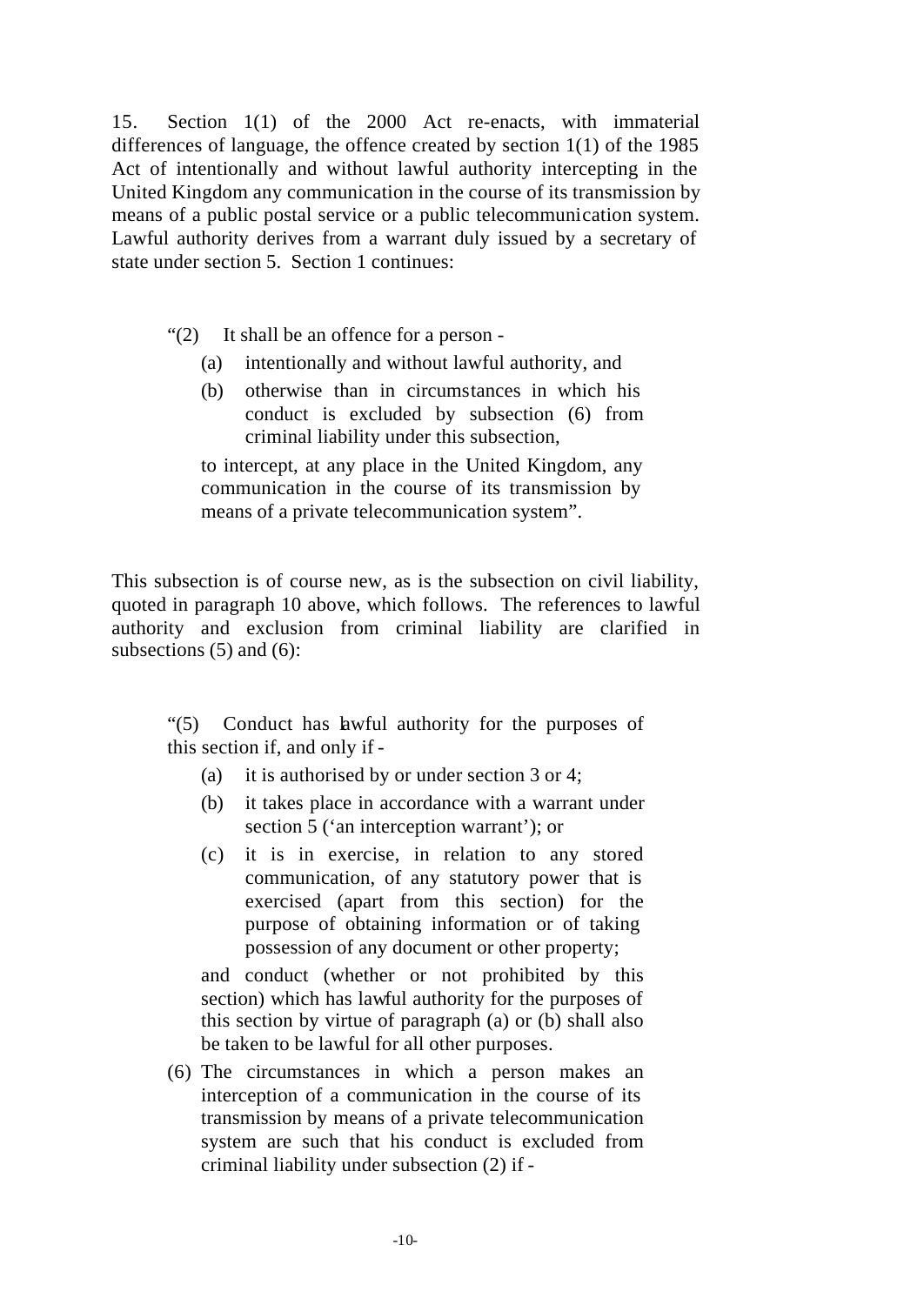15. Section 1(1) of the 2000 Act re-enacts, with immaterial differences of language, the offence created by section 1(1) of the 1985 Act of intentionally and without lawful authority intercepting in the United Kingdom any communication in the course of its transmission by means of a public postal service or a public telecommunication system. Lawful authority derives from a warrant duly issued by a secretary of state under section 5. Section 1 continues:

"(2) It shall be an offence for a person -

- (a) intentionally and without lawful authority, and
- (b) otherwise than in circumstances in which his conduct is excluded by subsection (6) from criminal liability under this subsection,

to intercept, at any place in the United Kingdom, any communication in the course of its transmission by means of a private telecommunication system".

This subsection is of course new, as is the subsection on civil liability, quoted in paragraph 10 above, which follows. The references to lawful authority and exclusion from criminal liability are clarified in subsections  $(5)$  and  $(6)$ :

"(5) Conduct has lawful authority for the purposes of this section if, and only if -

- (a) it is authorised by or under section 3 or 4;
- (b) it takes place in accordance with a warrant under section 5 ('an interception warrant'); or
- (c) it is in exercise, in relation to any stored communication, of any statutory power that is exercised (apart from this section) for the purpose of obtaining information or of taking possession of any document or other property;

and conduct (whether or not prohibited by this section) which has lawful authority for the purposes of this section by virtue of paragraph (a) or (b) shall also be taken to be lawful for all other purposes.

(6) The circumstances in which a person makes an interception of a communication in the course of its transmission by means of a private telecommunication system are such that his conduct is excluded from criminal liability under subsection (2) if -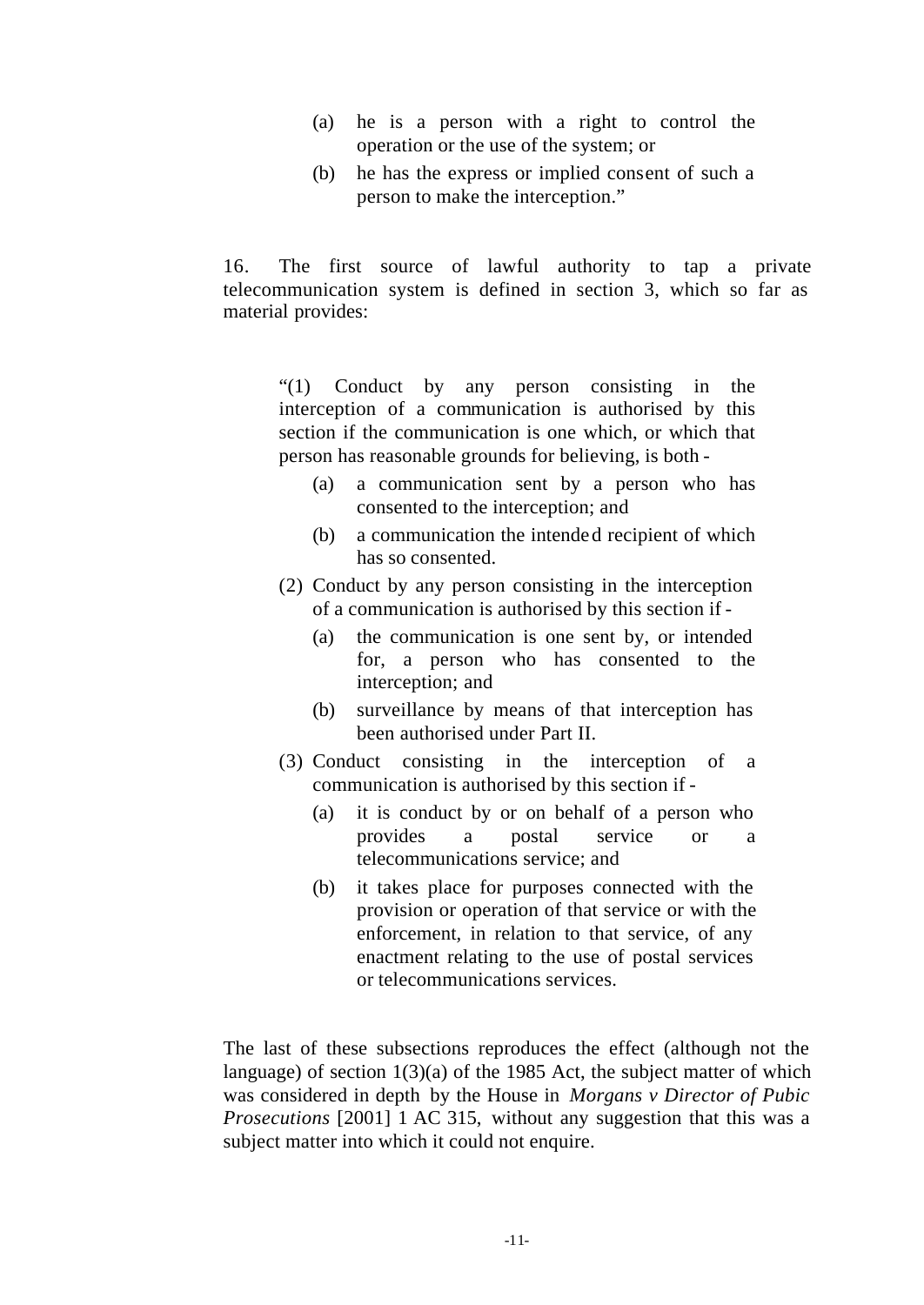- (a) he is a person with a right to control the operation or the use of the system; or
- (b) he has the express or implied consent of such a person to make the interception."

16. The first source of lawful authority to tap a private telecommunication system is defined in section 3, which so far as material provides:

"(1) Conduct by any person consisting in the interception of a communication is authorised by this section if the communication is one which, or which that person has reasonable grounds for believing, is both -

- (a) a communication sent by a person who has consented to the interception; and
- (b) a communication the intended recipient of which has so consented.
- (2) Conduct by any person consisting in the interception of a communication is authorised by this section if -
	- (a) the communication is one sent by, or intended for, a person who has consented to the interception; and
	- (b) surveillance by means of that interception has been authorised under Part II.
- (3) Conduct consisting in the interception of a communication is authorised by this section if -
	- (a) it is conduct by or on behalf of a person who provides a postal service or a telecommunications service; and
	- (b) it takes place for purposes connected with the provision or operation of that service or with the enforcement, in relation to that service, of any enactment relating to the use of postal services or telecommunications services.

The last of these subsections reproduces the effect (although not the language) of section  $1(3)(a)$  of the 1985 Act, the subject matter of which was considered in depth by the House in *Morgans v Director of Pubic Prosecutions* [2001] 1 AC 315, without any suggestion that this was a subject matter into which it could not enquire.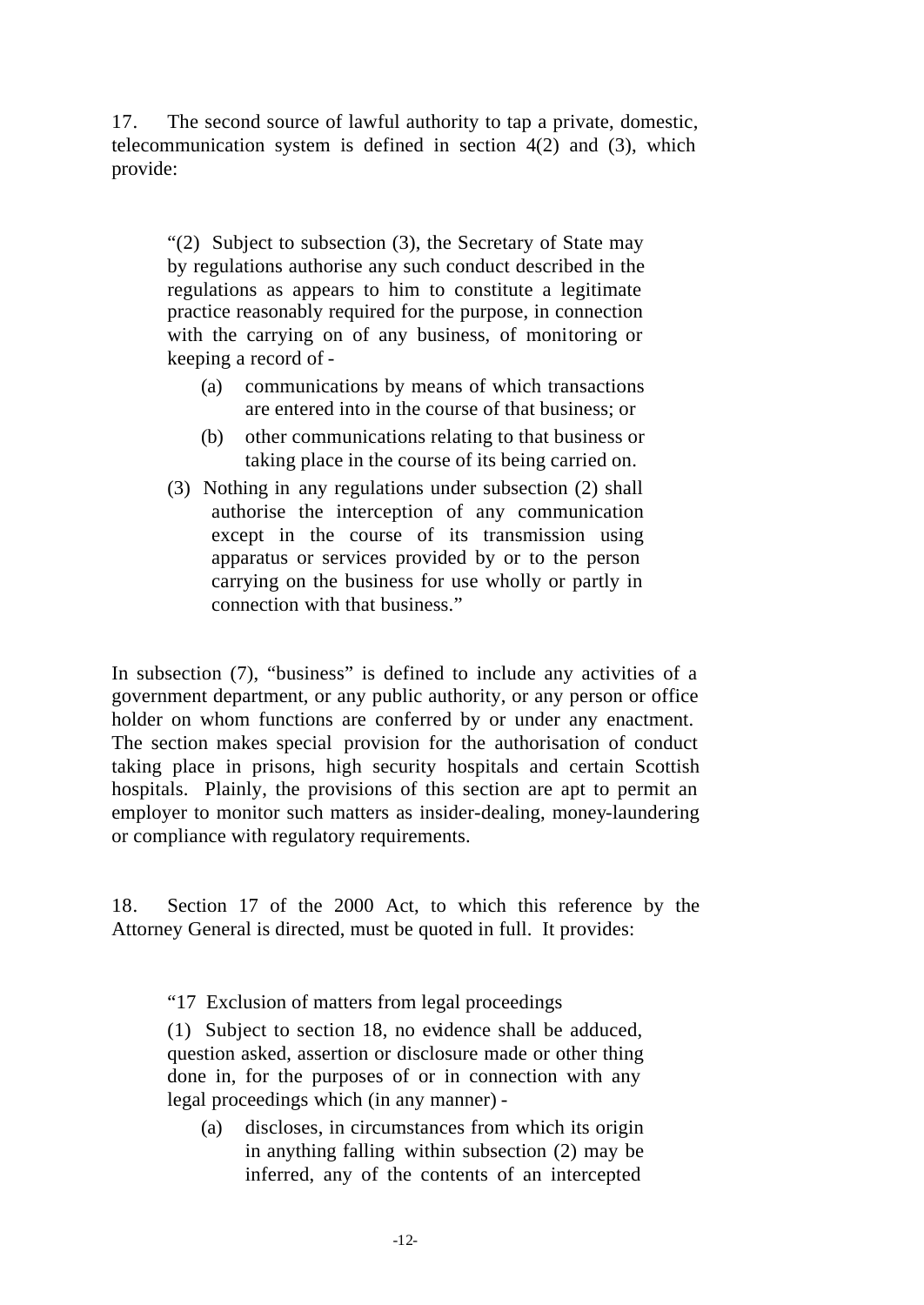17. The second source of lawful authority to tap a private, domestic, telecommunication system is defined in section 4(2) and (3), which provide:

"(2) Subject to subsection (3), the Secretary of State may by regulations authorise any such conduct described in the regulations as appears to him to constitute a legitimate practice reasonably required for the purpose, in connection with the carrying on of any business, of monitoring or keeping a record of -

- (a) communications by means of which transactions are entered into in the course of that business; or
- (b) other communications relating to that business or taking place in the course of its being carried on.
- (3) Nothing in any regulations under subsection (2) shall authorise the interception of any communication except in the course of its transmission using apparatus or services provided by or to the person carrying on the business for use wholly or partly in connection with that business."

In subsection (7), "business" is defined to include any activities of a government department, or any public authority, or any person or office holder on whom functions are conferred by or under any enactment. The section makes special provision for the authorisation of conduct taking place in prisons, high security hospitals and certain Scottish hospitals. Plainly, the provisions of this section are apt to permit an employer to monitor such matters as insider-dealing, money-laundering or compliance with regulatory requirements.

18. Section 17 of the 2000 Act, to which this reference by the Attorney General is directed, must be quoted in full. It provides:

"17 Exclusion of matters from legal proceedings

(1) Subject to section 18, no evidence shall be adduced, question asked, assertion or disclosure made or other thing done in, for the purposes of or in connection with any legal proceedings which (in any manner) -

(a) discloses, in circumstances from which its origin in anything falling within subsection (2) may be inferred, any of the contents of an intercepted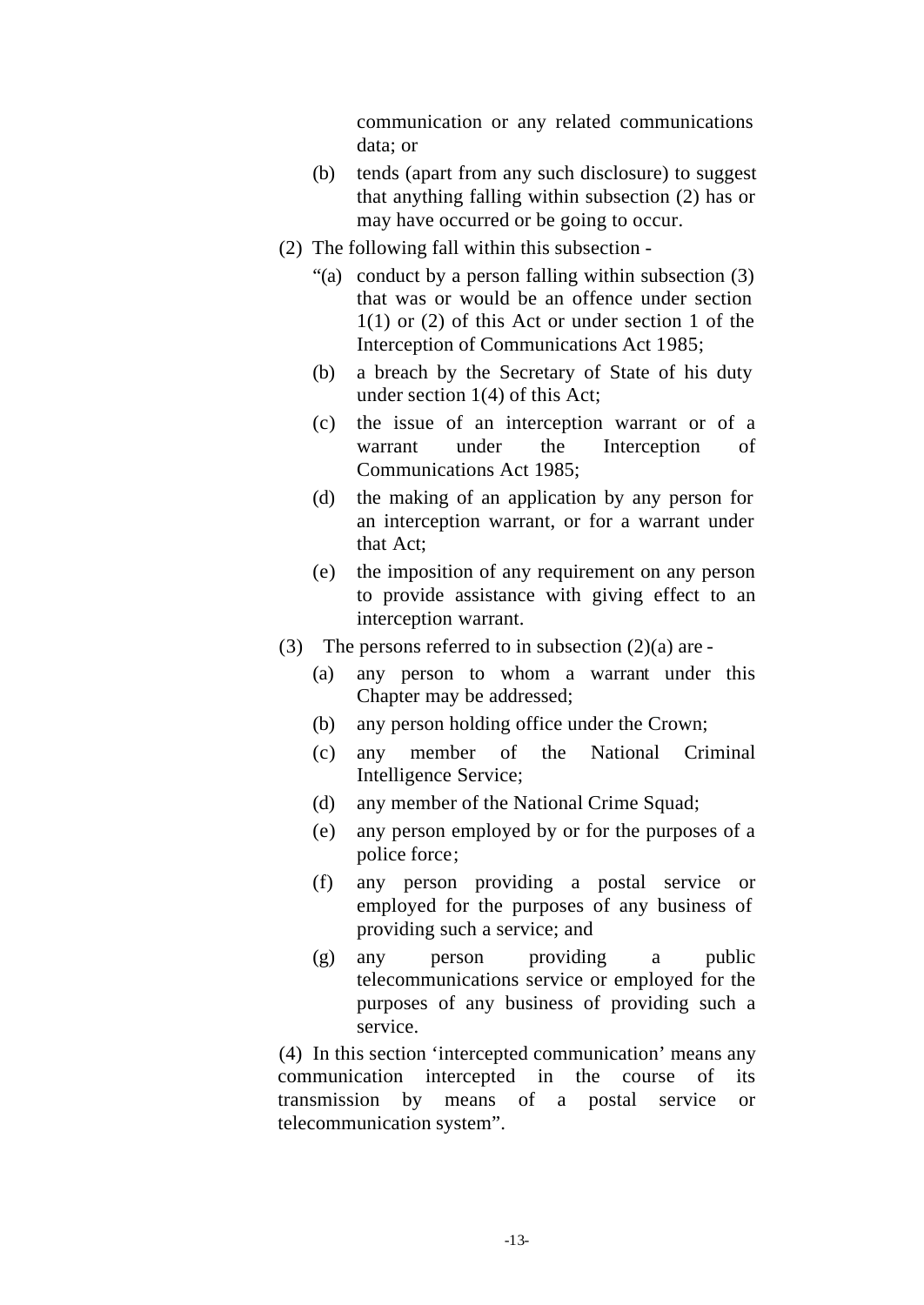communication or any related communications data; or

- (b) tends (apart from any such disclosure) to suggest that anything falling within subsection (2) has or may have occurred or be going to occur.
- (2) The following fall within this subsection
	- "(a) conduct by a person falling within subsection (3) that was or would be an offence under section 1(1) or (2) of this Act or under section 1 of the Interception of Communications Act 1985;
	- (b) a breach by the Secretary of State of his duty under section 1(4) of this Act;
	- (c) the issue of an interception warrant or of a warrant under the Interception of Communications Act 1985;
	- (d) the making of an application by any person for an interception warrant, or for a warrant under that Act;
	- (e) the imposition of any requirement on any person to provide assistance with giving effect to an interception warrant.
- (3) The persons referred to in subsection  $(2)(a)$  are -
	- (a) any person to whom a warrant under this Chapter may be addressed;
	- (b) any person holding office under the Crown;
	- (c) any member of the National Criminal Intelligence Service;
	- (d) any member of the National Crime Squad;
	- (e) any person employed by or for the purposes of a police force;
	- (f) any person providing a postal service or employed for the purposes of any business of providing such a service; and
	- (g) any person providing a public telecommunications service or employed for the purposes of any business of providing such a service.

(4) In this section 'intercepted communication' means any communication intercepted in the course of its transmission by means of a postal service or telecommunication system".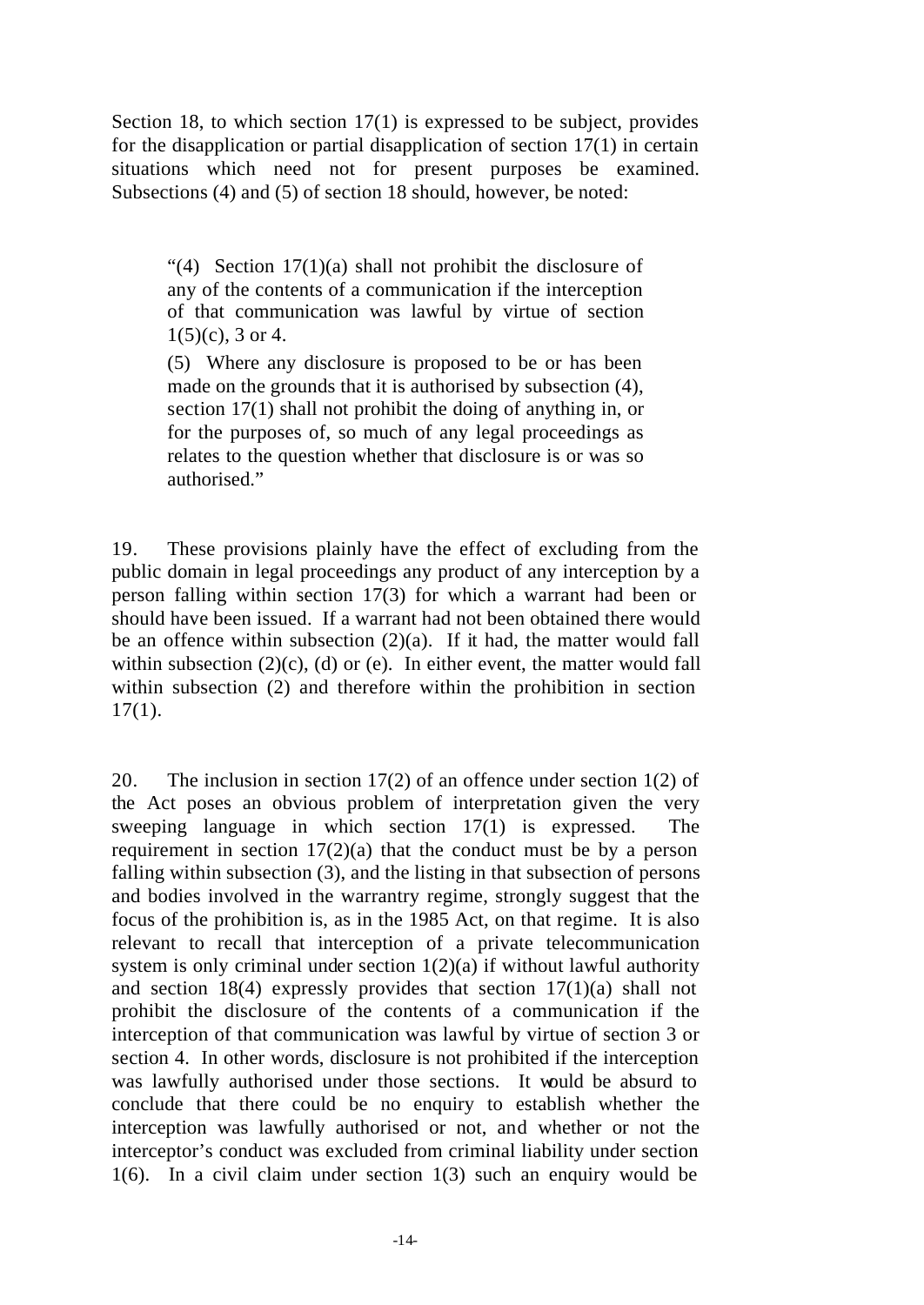Section 18, to which section 17(1) is expressed to be subject, provides for the disapplication or partial disapplication of section 17(1) in certain situations which need not for present purposes be examined. Subsections (4) and (5) of section 18 should, however, be noted:

"(4) Section  $17(1)(a)$  shall not prohibit the disclosure of any of the contents of a communication if the interception of that communication was lawful by virtue of section  $1(5)(c)$ , 3 or 4.

(5) Where any disclosure is proposed to be or has been made on the grounds that it is authorised by subsection (4), section 17(1) shall not prohibit the doing of anything in, or for the purposes of, so much of any legal proceedings as relates to the question whether that disclosure is or was so authorised."

19. These provisions plainly have the effect of excluding from the public domain in legal proceedings any product of any interception by a person falling within section 17(3) for which a warrant had been or should have been issued. If a warrant had not been obtained there would be an offence within subsection (2)(a). If it had, the matter would fall within subsection  $(2)(c)$ ,  $(d)$  or  $(e)$ . In either event, the matter would fall within subsection (2) and therefore within the prohibition in section  $17(1)$ .

20. The inclusion in section 17(2) of an offence under section 1(2) of the Act poses an obvious problem of interpretation given the very sweeping language in which section 17(1) is expressed. The requirement in section  $17(2)(a)$  that the conduct must be by a person falling within subsection (3), and the listing in that subsection of persons and bodies involved in the warrantry regime, strongly suggest that the focus of the prohibition is, as in the 1985 Act, on that regime. It is also relevant to recall that interception of a private telecommunication system is only criminal under section  $1(2)(a)$  if without lawful authority and section 18(4) expressly provides that section 17(1)(a) shall not prohibit the disclosure of the contents of a communication if the interception of that communication was lawful by virtue of section 3 or section 4. In other words, disclosure is not prohibited if the interception was lawfully authorised under those sections. It would be absurd to conclude that there could be no enquiry to establish whether the interception was lawfully authorised or not, and whether or not the interceptor's conduct was excluded from criminal liability under section 1(6). In a civil claim under section 1(3) such an enquiry would be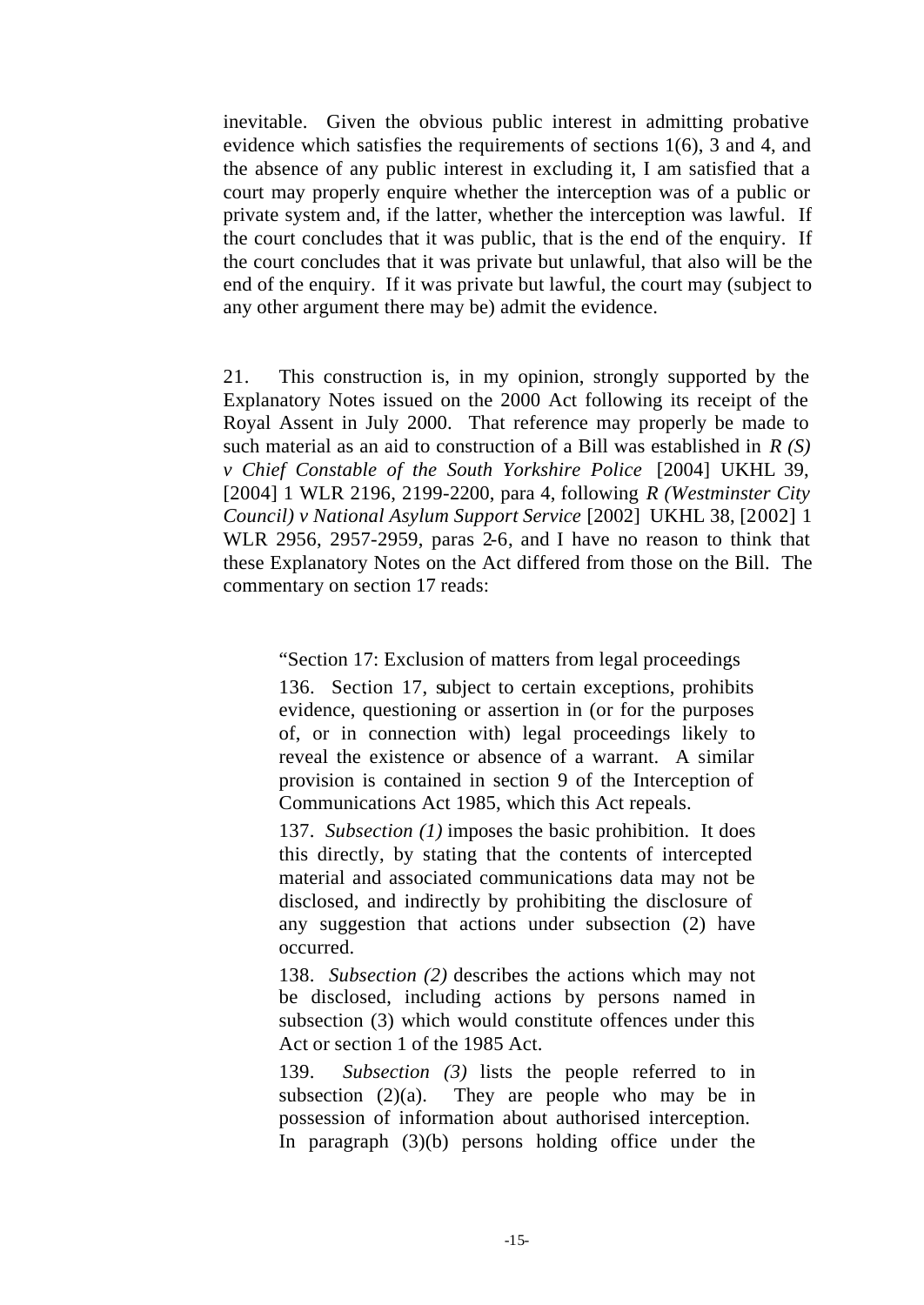inevitable. Given the obvious public interest in admitting probative evidence which satisfies the requirements of sections 1(6), 3 and 4, and the absence of any public interest in excluding it, I am satisfied that a court may properly enquire whether the interception was of a public or private system and, if the latter, whether the interception was lawful. If the court concludes that it was public, that is the end of the enquiry. If the court concludes that it was private but unlawful, that also will be the end of the enquiry. If it was private but lawful, the court may (subject to any other argument there may be) admit the evidence.

21. This construction is, in my opinion, strongly supported by the Explanatory Notes issued on the 2000 Act following its receipt of the Royal Assent in July 2000. That reference may properly be made to such material as an aid to construction of a Bill was established in *R (S) v Chief Constable of the South Yorkshire Police* [2004] UKHL 39, [2004] 1 WLR 2196, 2199-2200, para 4, following *R (Westminster City Council) v National Asylum Support Service* [2002] UKHL 38, [2002] 1 WLR 2956, 2957-2959, paras 2-6, and I have no reason to think that these Explanatory Notes on the Act differed from those on the Bill. The commentary on section 17 reads:

"Section 17: Exclusion of matters from legal proceedings

136. Section 17, subject to certain exceptions, prohibits evidence, questioning or assertion in (or for the purposes of, or in connection with) legal proceedings likely to reveal the existence or absence of a warrant. A similar provision is contained in section 9 of the Interception of Communications Act 1985, which this Act repeals.

137. *Subsection (1)* imposes the basic prohibition. It does this directly, by stating that the contents of intercepted material and associated communications data may not be disclosed, and indirectly by prohibiting the disclosure of any suggestion that actions under subsection (2) have occurred.

138. *Subsection (2)* describes the actions which may not be disclosed, including actions by persons named in subsection (3) which would constitute offences under this Act or section 1 of the 1985 Act.

139. *Subsection (3)* lists the people referred to in subsection  $(2)(a)$ . They are people who may be in possession of information about authorised interception. In paragraph (3)(b) persons holding office under the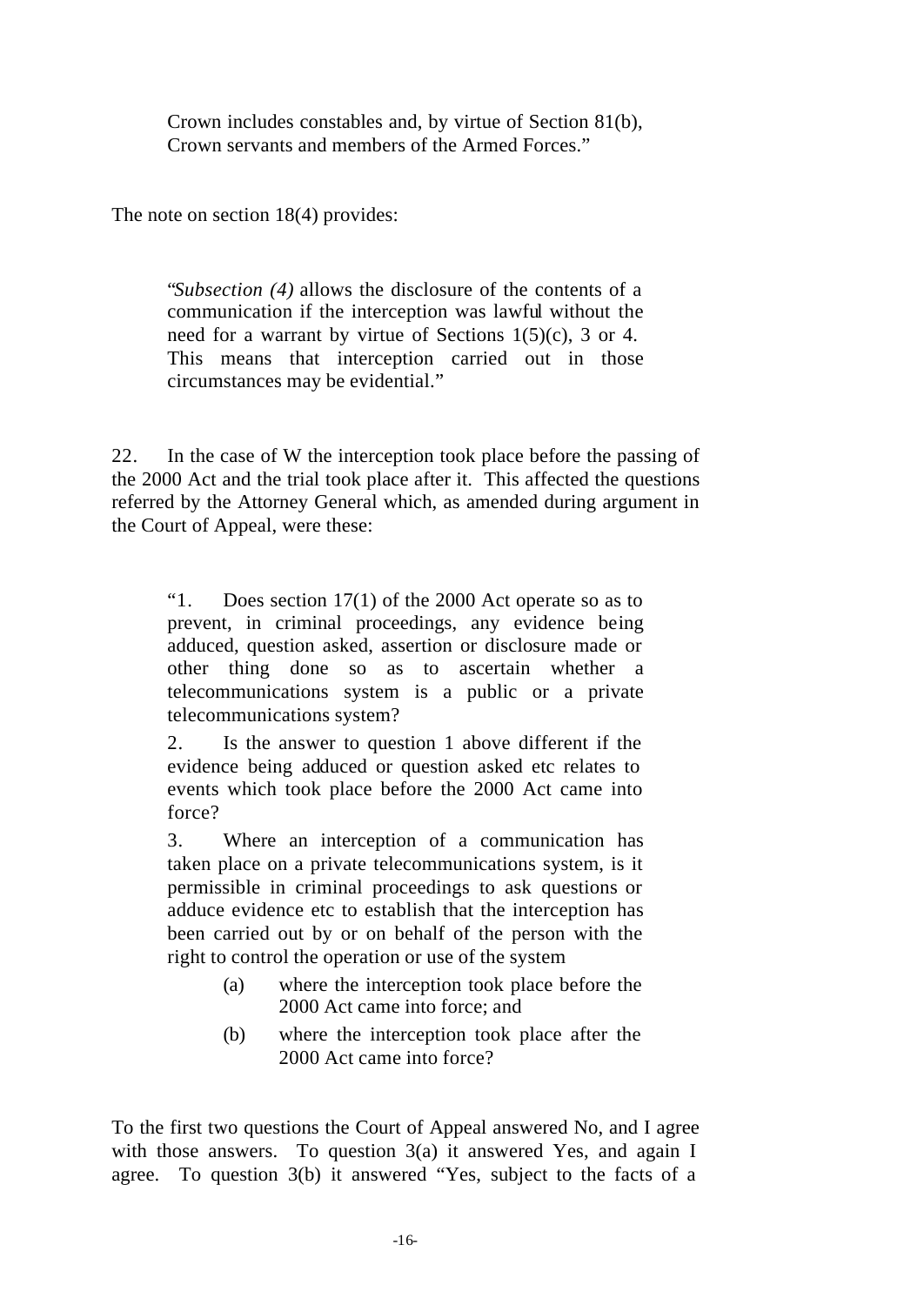Crown includes constables and, by virtue of Section 81(b), Crown servants and members of the Armed Forces."

The note on section 18(4) provides:

"*Subsection (4)* allows the disclosure of the contents of a communication if the interception was lawful without the need for a warrant by virtue of Sections 1(5)(c), 3 or 4. This means that interception carried out in those circumstances may be evidential."

22. In the case of W the interception took place before the passing of the 2000 Act and the trial took place after it. This affected the questions referred by the Attorney General which, as amended during argument in the Court of Appeal, were these:

"1. Does section 17(1) of the 2000 Act operate so as to prevent, in criminal proceedings, any evidence being adduced, question asked, assertion or disclosure made or other thing done so as to ascertain whether a telecommunications system is a public or a private telecommunications system?

2. Is the answer to question 1 above different if the evidence being adduced or question asked etc relates to events which took place before the 2000 Act came into force?

3. Where an interception of a communication has taken place on a private telecommunications system, is it permissible in criminal proceedings to ask questions or adduce evidence etc to establish that the interception has been carried out by or on behalf of the person with the right to control the operation or use of the system

- (a) where the interception took place before the 2000 Act came into force; and
- (b) where the interception took place after the 2000 Act came into force?

To the first two questions the Court of Appeal answered No, and I agree with those answers. To question 3(a) it answered Yes, and again I agree. To question 3(b) it answered "Yes, subject to the facts of a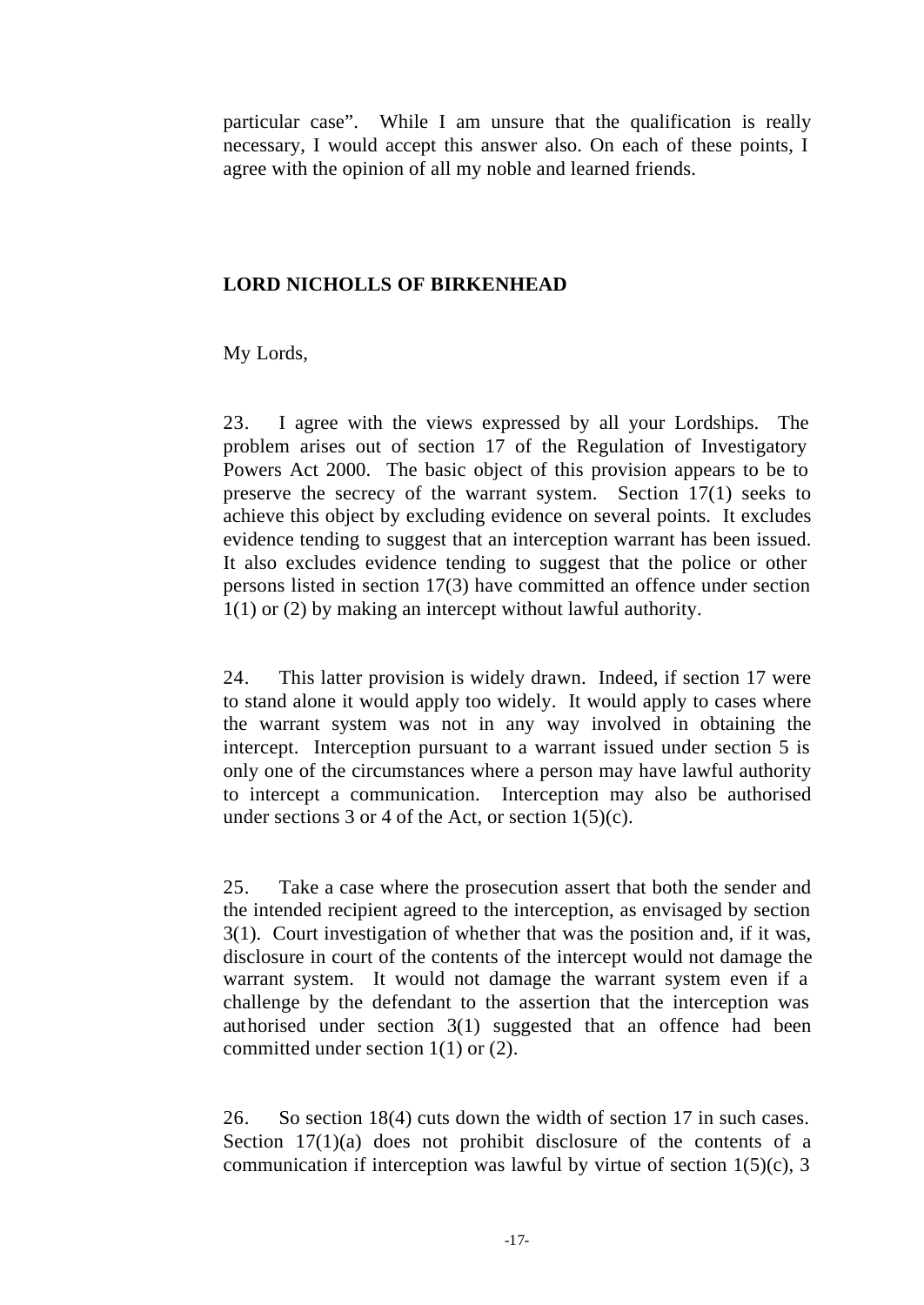particular case". While I am unsure that the qualification is really necessary, I would accept this answer also. On each of these points, I agree with the opinion of all my noble and learned friends.

## **LORD NICHOLLS OF BIRKENHEAD**

My Lords,

23. I agree with the views expressed by all your Lordships. The problem arises out of section 17 of the Regulation of Investigatory Powers Act 2000. The basic object of this provision appears to be to preserve the secrecy of the warrant system. Section 17(1) seeks to achieve this object by excluding evidence on several points. It excludes evidence tending to suggest that an interception warrant has been issued. It also excludes evidence tending to suggest that the police or other persons listed in section 17(3) have committed an offence under section 1(1) or (2) by making an intercept without lawful authority.

24. This latter provision is widely drawn. Indeed, if section 17 were to stand alone it would apply too widely. It would apply to cases where the warrant system was not in any way involved in obtaining the intercept. Interception pursuant to a warrant issued under section 5 is only one of the circumstances where a person may have lawful authority to intercept a communication. Interception may also be authorised under sections 3 or 4 of the Act, or section  $1(5)(c)$ .

25. Take a case where the prosecution assert that both the sender and the intended recipient agreed to the interception, as envisaged by section 3(1). Court investigation of whether that was the position and, if it was, disclosure in court of the contents of the intercept would not damage the warrant system. It would not damage the warrant system even if a challenge by the defendant to the assertion that the interception was authorised under section 3(1) suggested that an offence had been committed under section 1(1) or (2).

26. So section 18(4) cuts down the width of section 17 in such cases. Section 17(1)(a) does not prohibit disclosure of the contents of a communication if interception was lawful by virtue of section  $1(5)(c)$ , 3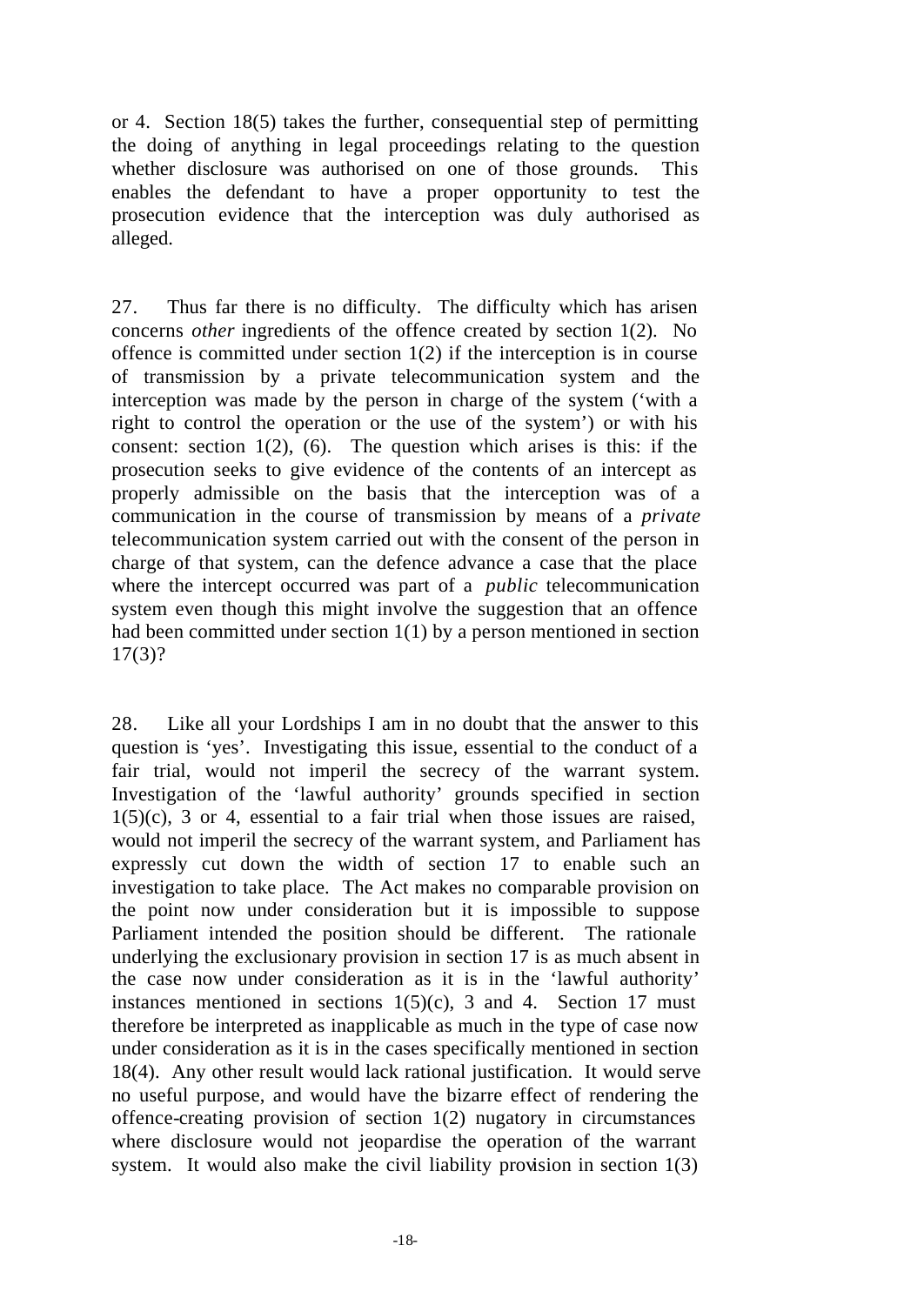or 4. Section 18(5) takes the further, consequential step of permitting the doing of anything in legal proceedings relating to the question whether disclosure was authorised on one of those grounds. This enables the defendant to have a proper opportunity to test the prosecution evidence that the interception was duly authorised as alleged.

27. Thus far there is no difficulty. The difficulty which has arisen concerns *other* ingredients of the offence created by section 1(2). No offence is committed under section  $1(2)$  if the interception is in course of transmission by a private telecommunication system and the interception was made by the person in charge of the system ('with a right to control the operation or the use of the system') or with his consent: section  $1(2)$ ,  $(6)$ . The question which arises is this: if the prosecution seeks to give evidence of the contents of an intercept as properly admissible on the basis that the interception was of a communication in the course of transmission by means of a *private* telecommunication system carried out with the consent of the person in charge of that system, can the defence advance a case that the place where the intercept occurred was part of a *public* telecommunication system even though this might involve the suggestion that an offence had been committed under section 1(1) by a person mentioned in section 17(3)?

28. Like all your Lordships I am in no doubt that the answer to this question is 'yes'. Investigating this issue, essential to the conduct of a fair trial, would not imperil the secrecy of the warrant system. Investigation of the 'lawful authority' grounds specified in section  $1(5)(c)$ , 3 or 4, essential to a fair trial when those issues are raised, would not imperil the secrecy of the warrant system, and Parliament has expressly cut down the width of section 17 to enable such an investigation to take place. The Act makes no comparable provision on the point now under consideration but it is impossible to suppose Parliament intended the position should be different. The rationale underlying the exclusionary provision in section 17 is as much absent in the case now under consideration as it is in the 'lawful authority' instances mentioned in sections  $1(5)(c)$ , 3 and 4. Section 17 must therefore be interpreted as inapplicable as much in the type of case now under consideration as it is in the cases specifically mentioned in section 18(4). Any other result would lack rational justification. It would serve no useful purpose, and would have the bizarre effect of rendering the offence-creating provision of section 1(2) nugatory in circumstances where disclosure would not jeopardise the operation of the warrant system. It would also make the civil liability provision in section  $1(3)$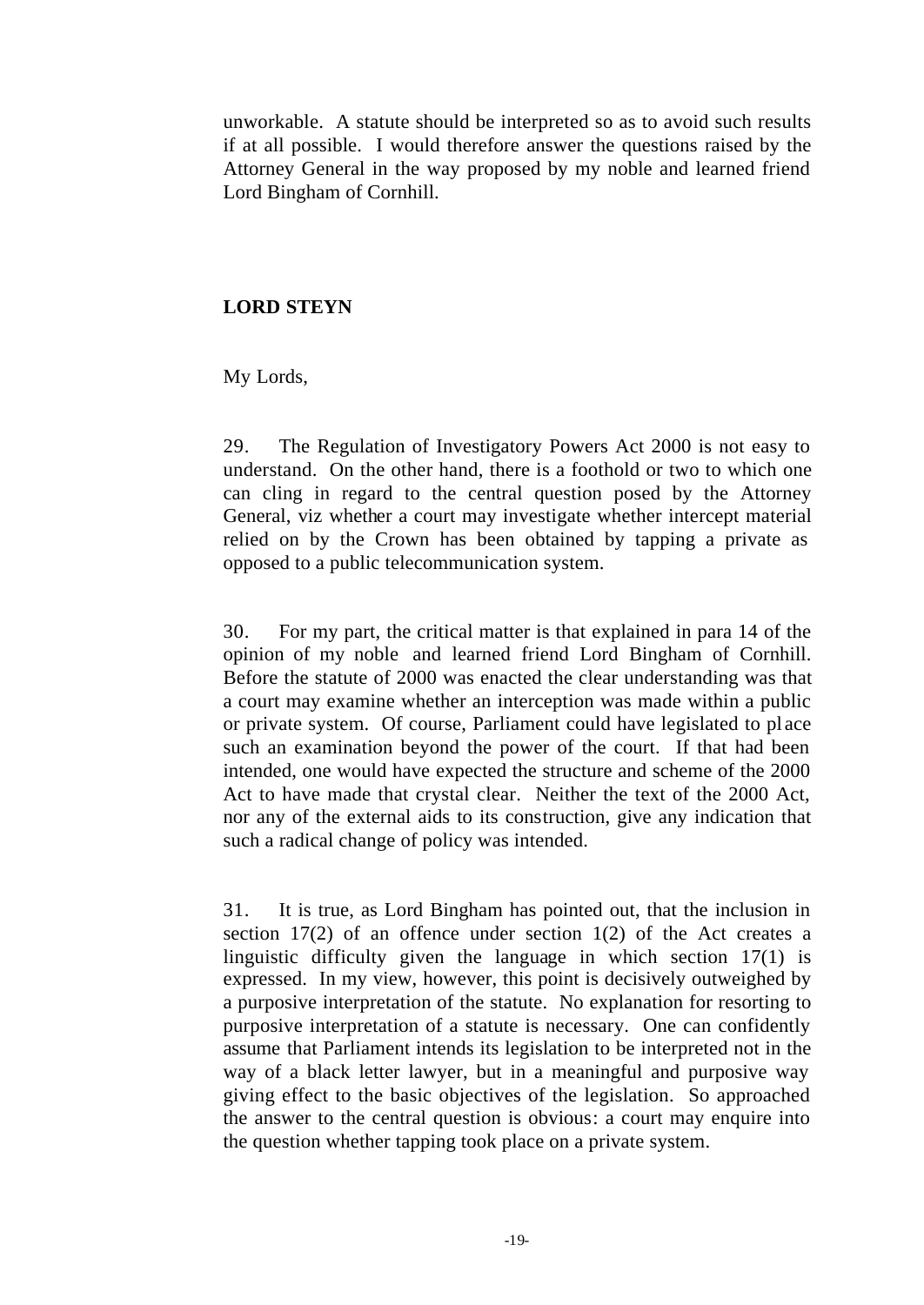unworkable. A statute should be interpreted so as to avoid such results if at all possible. I would therefore answer the questions raised by the Attorney General in the way proposed by my noble and learned friend Lord Bingham of Cornhill.

# **LORD STEYN**

My Lords,

29. The Regulation of Investigatory Powers Act 2000 is not easy to understand. On the other hand, there is a foothold or two to which one can cling in regard to the central question posed by the Attorney General, viz whether a court may investigate whether intercept material relied on by the Crown has been obtained by tapping a private as opposed to a public telecommunication system.

30. For my part, the critical matter is that explained in para 14 of the opinion of my noble and learned friend Lord Bingham of Cornhill. Before the statute of 2000 was enacted the clear understanding was that a court may examine whether an interception was made within a public or private system. Of course, Parliament could have legislated to pl ace such an examination beyond the power of the court. If that had been intended, one would have expected the structure and scheme of the 2000 Act to have made that crystal clear. Neither the text of the 2000 Act, nor any of the external aids to its construction, give any indication that such a radical change of policy was intended.

31. It is true, as Lord Bingham has pointed out, that the inclusion in section 17(2) of an offence under section 1(2) of the Act creates a linguistic difficulty given the language in which section 17(1) is expressed. In my view, however, this point is decisively outweighed by a purposive interpretation of the statute. No explanation for resorting to purposive interpretation of a statute is necessary. One can confidently assume that Parliament intends its legislation to be interpreted not in the way of a black letter lawyer, but in a meaningful and purposive way giving effect to the basic objectives of the legislation. So approached the answer to the central question is obvious: a court may enquire into the question whether tapping took place on a private system.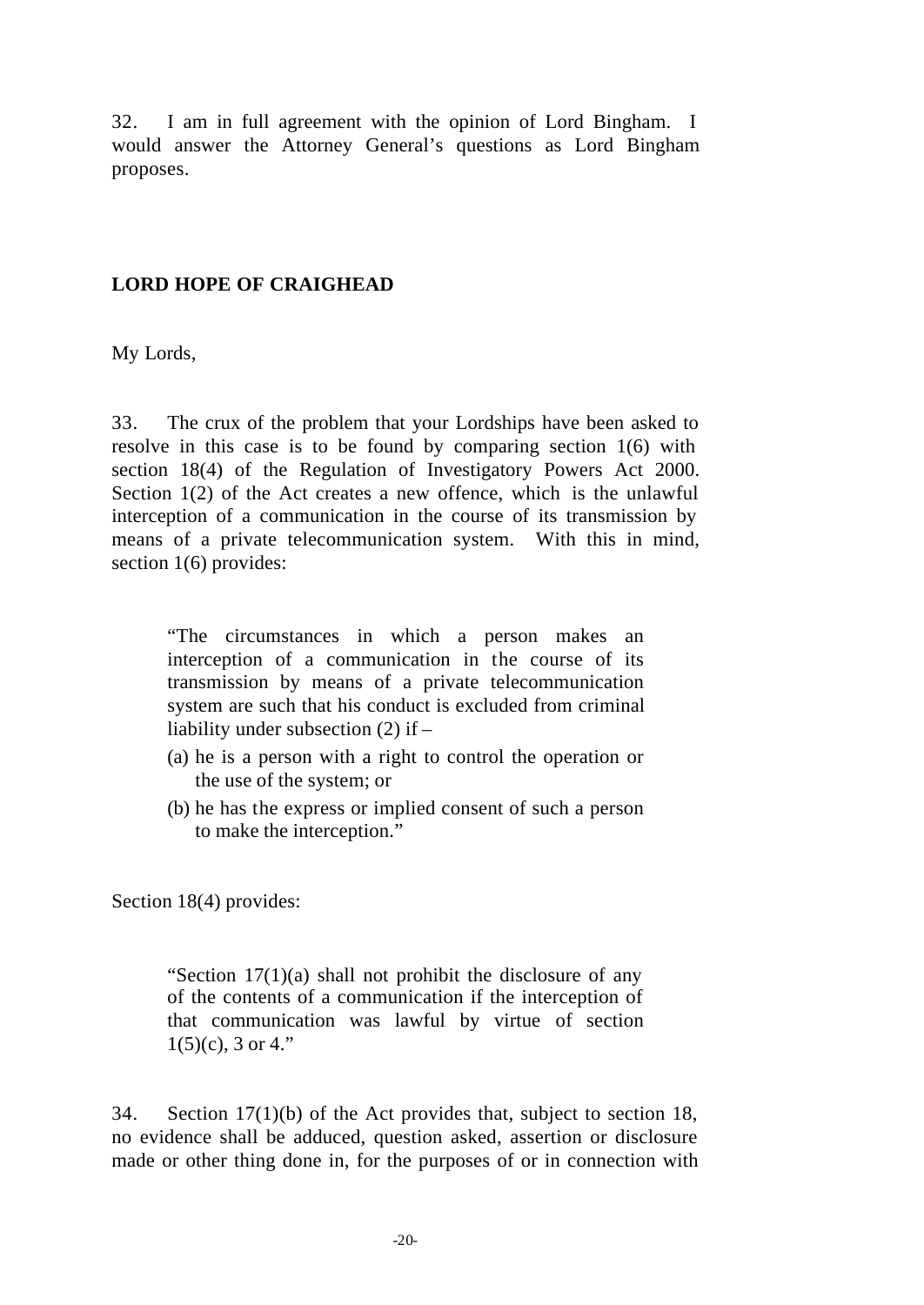32. I am in full agreement with the opinion of Lord Bingham. I would answer the Attorney General's questions as Lord Bingham proposes.

### **LORD HOPE OF CRAIGHEAD**

My Lords,

33. The crux of the problem that your Lordships have been asked to resolve in this case is to be found by comparing section 1(6) with section 18(4) of the Regulation of Investigatory Powers Act 2000. Section 1(2) of the Act creates a new offence, which is the unlawful interception of a communication in the course of its transmission by means of a private telecommunication system. With this in mind, section 1(6) provides:

"The circumstances in which a person makes an interception of a communication in the course of its transmission by means of a private telecommunication system are such that his conduct is excluded from criminal liability under subsection (2) if –

- (a) he is a person with a right to control the operation or the use of the system; or
- (b) he has the express or implied consent of such a person to make the interception."

Section 18(4) provides:

"Section 17(1)(a) shall not prohibit the disclosure of any of the contents of a communication if the interception of that communication was lawful by virtue of section  $1(5)(c)$ , 3 or 4."

34. Section 17(1)(b) of the Act provides that, subject to section 18, no evidence shall be adduced, question asked, assertion or disclosure made or other thing done in, for the purposes of or in connection with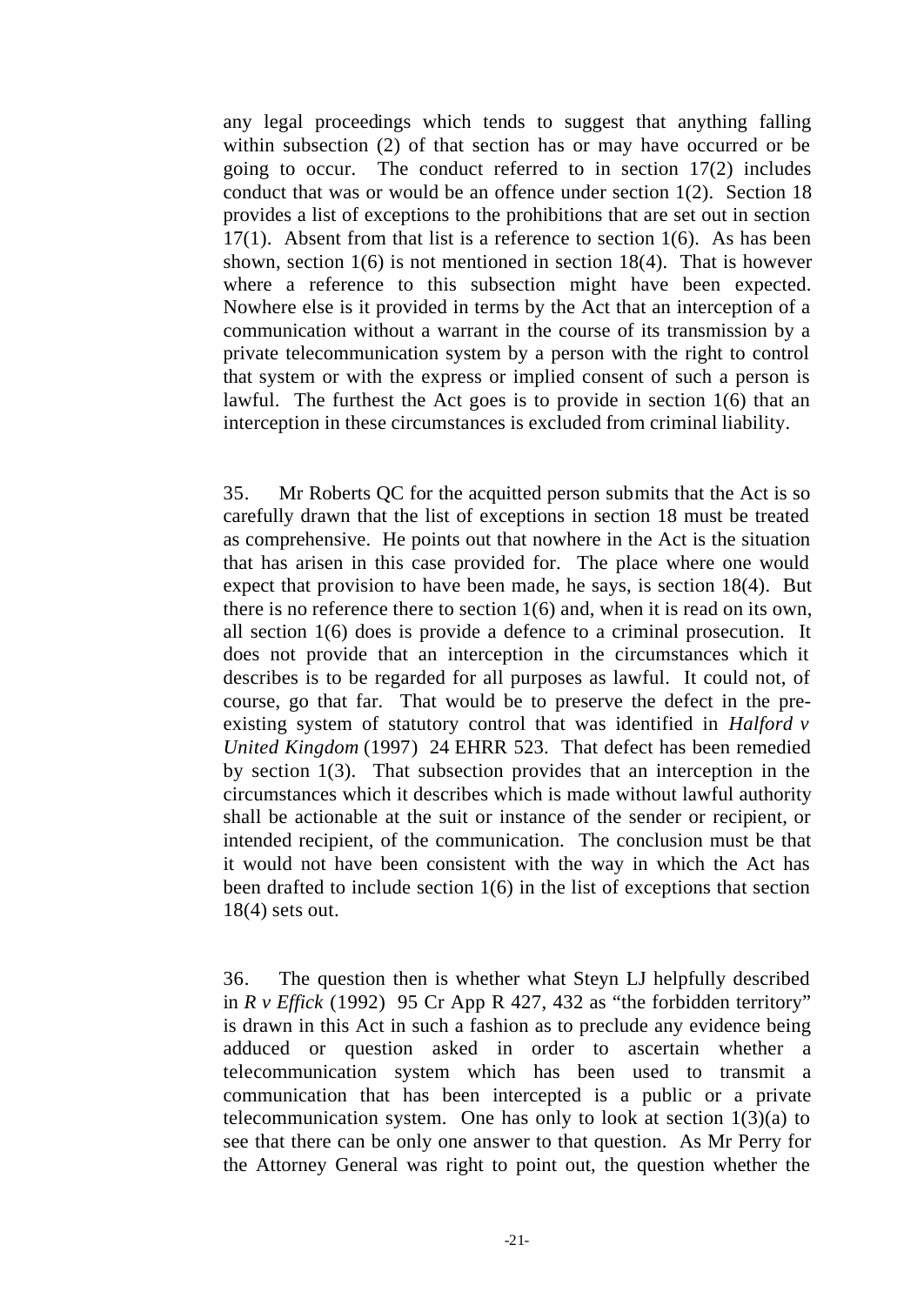any legal proceedings which tends to suggest that anything falling within subsection (2) of that section has or may have occurred or be going to occur. The conduct referred to in section 17(2) includes conduct that was or would be an offence under section  $1(2)$ . Section 18 provides a list of exceptions to the prohibitions that are set out in section 17(1). Absent from that list is a reference to section 1(6). As has been shown, section  $1(6)$  is not mentioned in section  $18(4)$ . That is however where a reference to this subsection might have been expected. Nowhere else is it provided in terms by the Act that an interception of a communication without a warrant in the course of its transmission by a private telecommunication system by a person with the right to control that system or with the express or implied consent of such a person is lawful. The furthest the Act goes is to provide in section 1(6) that an interception in these circumstances is excluded from criminal liability.

35. Mr Roberts QC for the acquitted person submits that the Act is so carefully drawn that the list of exceptions in section 18 must be treated as comprehensive. He points out that nowhere in the Act is the situation that has arisen in this case provided for. The place where one would expect that provision to have been made, he says, is section 18(4). But there is no reference there to section 1(6) and, when it is read on its own, all section 1(6) does is provide a defence to a criminal prosecution. It does not provide that an interception in the circumstances which it describes is to be regarded for all purposes as lawful. It could not, of course, go that far. That would be to preserve the defect in the preexisting system of statutory control that was identified in *Halford v United Kingdom* (1997) 24 EHRR 523. That defect has been remedied by section 1(3). That subsection provides that an interception in the circumstances which it describes which is made without lawful authority shall be actionable at the suit or instance of the sender or recipient, or intended recipient, of the communication. The conclusion must be that it would not have been consistent with the way in which the Act has been drafted to include section 1(6) in the list of exceptions that section 18(4) sets out.

36. The question then is whether what Steyn LJ helpfully described in  $R \nu$  *Effick* (1992) 95 Cr App R 427, 432 as "the forbidden territory" is drawn in this Act in such a fashion as to preclude any evidence being adduced or question asked in order to ascertain whether a telecommunication system which has been used to transmit a communication that has been intercepted is a public or a private telecommunication system. One has only to look at section  $1(3)(a)$  to see that there can be only one answer to that question. As Mr Perry for the Attorney General was right to point out, the question whether the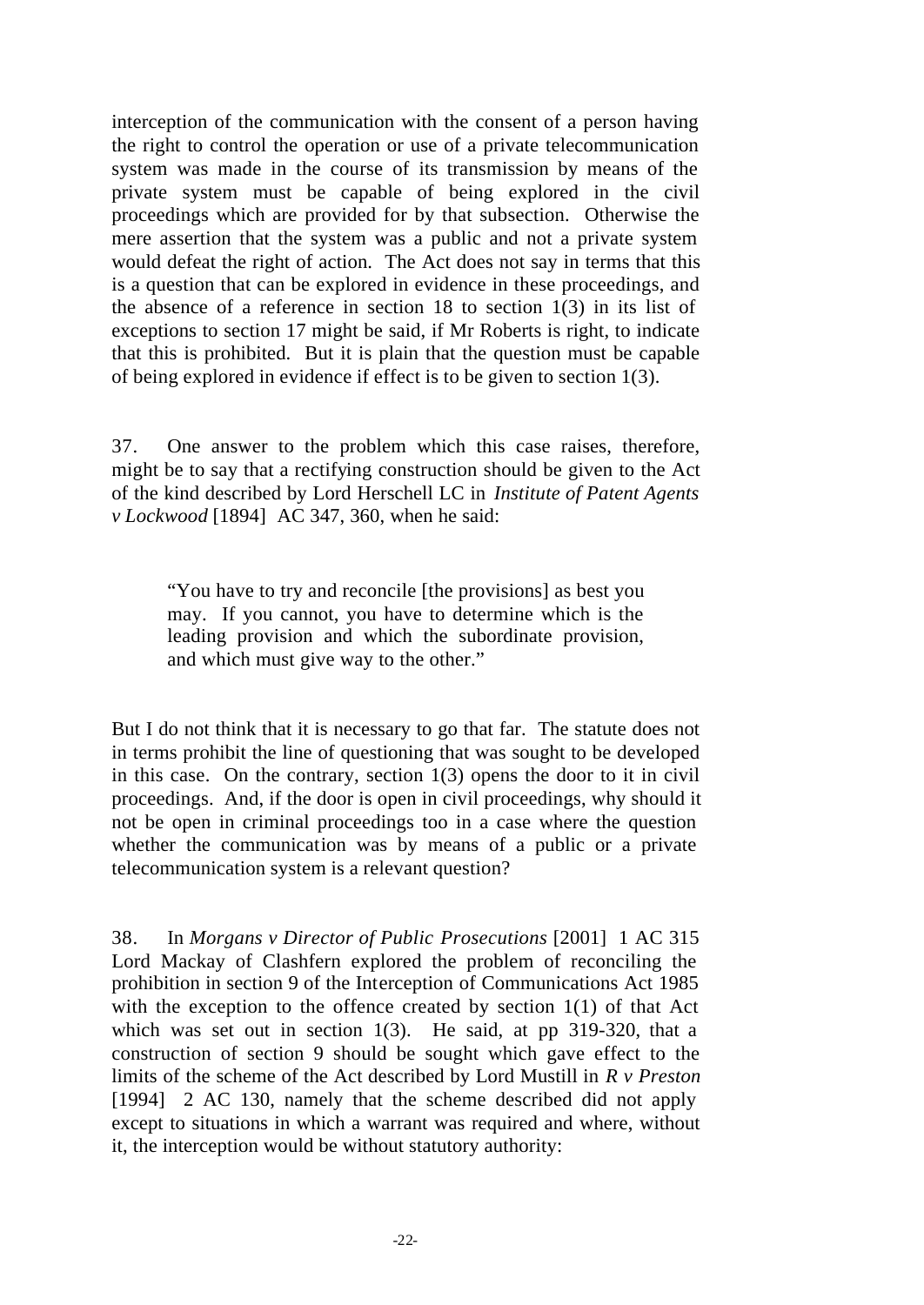interception of the communication with the consent of a person having the right to control the operation or use of a private telecommunication system was made in the course of its transmission by means of the private system must be capable of being explored in the civil proceedings which are provided for by that subsection. Otherwise the mere assertion that the system was a public and not a private system would defeat the right of action. The Act does not say in terms that this is a question that can be explored in evidence in these proceedings, and the absence of a reference in section 18 to section 1(3) in its list of exceptions to section 17 might be said, if Mr Roberts is right, to indicate that this is prohibited. But it is plain that the question must be capable of being explored in evidence if effect is to be given to section 1(3).

37. One answer to the problem which this case raises, therefore, might be to say that a rectifying construction should be given to the Act of the kind described by Lord Herschell LC in *Institute of Patent Agents v Lockwood* [1894] AC 347, 360, when he said:

"You have to try and reconcile [the provisions] as best you may. If you cannot, you have to determine which is the leading provision and which the subordinate provision, and which must give way to the other."

But I do not think that it is necessary to go that far. The statute does not in terms prohibit the line of questioning that was sought to be developed in this case. On the contrary, section 1(3) opens the door to it in civil proceedings. And, if the door is open in civil proceedings, why should it not be open in criminal proceedings too in a case where the question whether the communication was by means of a public or a private telecommunication system is a relevant question?

38. In *Morgans v Director of Public Prosecutions* [2001] 1 AC 315 Lord Mackay of Clashfern explored the problem of reconciling the prohibition in section 9 of the Interception of Communications Act 1985 with the exception to the offence created by section 1(1) of that Act which was set out in section 1(3). He said, at pp 319-320, that a construction of section 9 should be sought which gave effect to the limits of the scheme of the Act described by Lord Mustill in *R v Preston* [1994] 2 AC 130, namely that the scheme described did not apply except to situations in which a warrant was required and where, without it, the interception would be without statutory authority: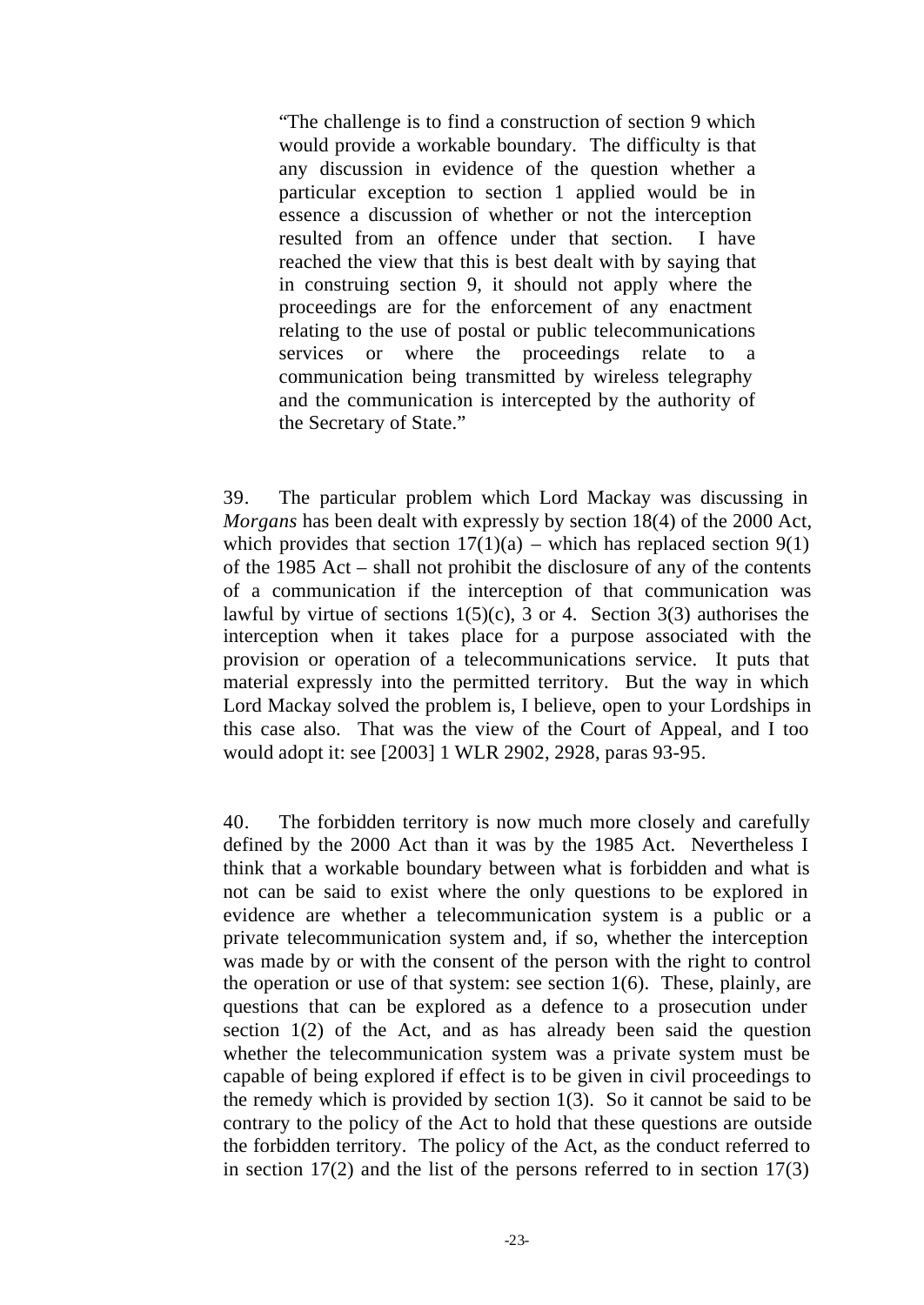"The challenge is to find a construction of section 9 which would provide a workable boundary. The difficulty is that any discussion in evidence of the question whether a particular exception to section 1 applied would be in essence a discussion of whether or not the interception resulted from an offence under that section. I have reached the view that this is best dealt with by saying that in construing section 9, it should not apply where the proceedings are for the enforcement of any enactment relating to the use of postal or public telecommunications services or where the proceedings relate to communication being transmitted by wireless telegraphy and the communication is intercepted by the authority of the Secretary of State."

39. The particular problem which Lord Mackay was discussing in *Morgans* has been dealt with expressly by section 18(4) of the 2000 Act, which provides that section  $17(1)(a)$  – which has replaced section  $9(1)$ of the 1985 Act – shall not prohibit the disclosure of any of the contents of a communication if the interception of that communication was lawful by virtue of sections  $1(5)(c)$ , 3 or 4. Section 3(3) authorises the interception when it takes place for a purpose associated with the provision or operation of a telecommunications service. It puts that material expressly into the permitted territory. But the way in which Lord Mackay solved the problem is, I believe, open to your Lordships in this case also. That was the view of the Court of Appeal, and I too would adopt it: see [2003] 1 WLR 2902, 2928, paras 93-95.

40. The forbidden territory is now much more closely and carefully defined by the 2000 Act than it was by the 1985 Act. Nevertheless I think that a workable boundary between what is forbidden and what is not can be said to exist where the only questions to be explored in evidence are whether a telecommunication system is a public or a private telecommunication system and, if so, whether the interception was made by or with the consent of the person with the right to control the operation or use of that system: see section 1(6). These, plainly, are questions that can be explored as a defence to a prosecution under section 1(2) of the Act, and as has already been said the question whether the telecommunication system was a private system must be capable of being explored if effect is to be given in civil proceedings to the remedy which is provided by section  $1(3)$ . So it cannot be said to be contrary to the policy of the Act to hold that these questions are outside the forbidden territory. The policy of the Act, as the conduct referred to in section  $17(2)$  and the list of the persons referred to in section  $17(3)$